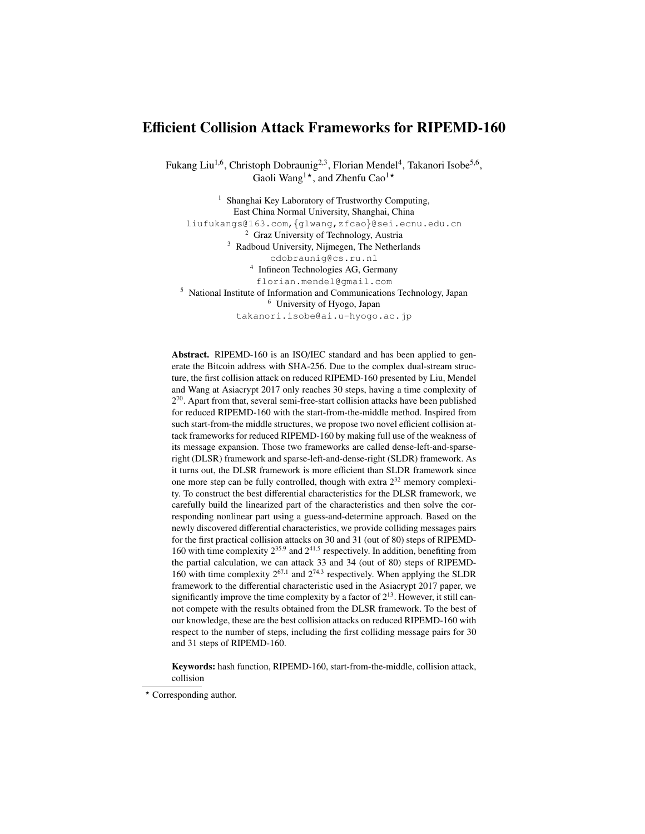# Efficient Collision Attack Frameworks for RIPEMD-160

Fukang Liu<sup>1,6</sup>, Christoph Dobraunig<sup>2,3</sup>, Florian Mendel<sup>4</sup>, Takanori Isobe<sup>5,6</sup>, Gaoli Wang $^{1\star}$ , and Zhenfu Cao $^{1\star}$ 

<sup>1</sup> Shanghai Key Laboratory of Trustworthy Computing, East China Normal University, Shanghai, China liufukangs@163.com,{glwang,zfcao}@sei.ecnu.edu.cn <sup>2</sup> Graz University of Technology, Austria <sup>3</sup> Radboud University, Nijmegen, The Netherlands cdobraunig@cs.ru.nl 4 Infineon Technologies AG, Germany florian.mendel@gmail.com <sup>5</sup> National Institute of Information and Communications Technology, Japan <sup>6</sup> University of Hyogo, Japan takanori.isobe@ai.u-hyogo.ac.jp

Abstract. RIPEMD-160 is an ISO/IEC standard and has been applied to generate the Bitcoin address with SHA-256. Due to the complex dual-stream structure, the first collision attack on reduced RIPEMD-160 presented by Liu, Mendel and Wang at Asiacrypt 2017 only reaches 30 steps, having a time complexity of  $2^{70}$ . Apart from that, several semi-free-start collision attacks have been published for reduced RIPEMD-160 with the start-from-the-middle method. Inspired from such start-from-the middle structures, we propose two novel efficient collision attack frameworks for reduced RIPEMD-160 by making full use of the weakness of its message expansion. Those two frameworks are called dense-left-and-sparseright (DLSR) framework and sparse-left-and-dense-right (SLDR) framework. As it turns out, the DLSR framework is more efficient than SLDR framework since one more step can be fully controlled, though with extra  $2^{32}$  memory complexity. To construct the best differential characteristics for the DLSR framework, we carefully build the linearized part of the characteristics and then solve the corresponding nonlinear part using a guess-and-determine approach. Based on the newly discovered differential characteristics, we provide colliding messages pairs for the first practical collision attacks on 30 and 31 (out of 80) steps of RIPEMD-160 with time complexity 2<sup>35</sup>.<sup>9</sup> and 2<sup>41</sup>.<sup>5</sup> respectively. In addition, benefiting from the partial calculation, we can attack 33 and 34 (out of 80) steps of RIPEMD-160 with time complexity  $2^{67.1}$  and  $2^{74.3}$  respectively. When applying the SLDR framework to the differential characteristic used in the Asiacrypt 2017 paper, we significantly improve the time complexity by a factor of  $2<sup>13</sup>$ . However, it still cannot compete with the results obtained from the DLSR framework. To the best of our knowledge, these are the best collision attacks on reduced RIPEMD-160 with respect to the number of steps, including the first colliding message pairs for 30 and 31 steps of RIPEMD-160.

Keywords: hash function, RIPEMD-160, start-from-the-middle, collision attack, collision

<sup>\*</sup> Corresponding author.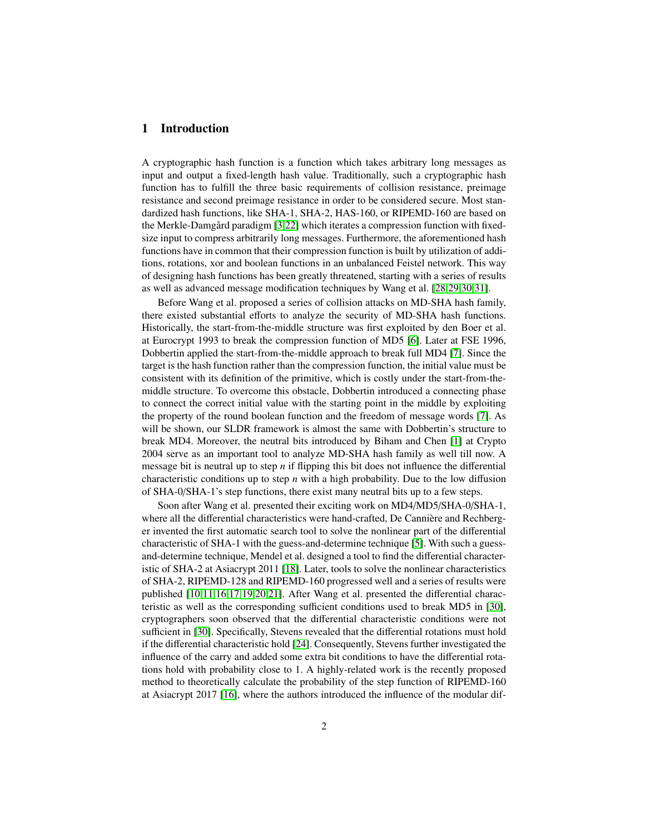# 1 Introduction

A cryptographic hash function is a function which takes arbitrary long messages as input and output a fixed-length hash value. Traditionally, such a cryptographic hash function has to fulfill the three basic requirements of collision resistance, preimage resistance and second preimage resistance in order to be considered secure. Most standardized hash functions, like SHA-1, SHA-2, HAS-160, or RIPEMD-160 are based on the Merkle-Damgård paradigm [\[3,](#page-24-0)[22\]](#page-26-0) which iterates a compression function with fixedsize input to compress arbitrarily long messages. Furthermore, the aforementioned hash functions have in common that their compression function is built by utilization of additions, rotations, xor and boolean functions in an unbalanced Feistel network. This way of designing hash functions has been greatly threatened, starting with a series of results as well as advanced message modification techniques by Wang et al. [\[28,](#page-26-1)[29,](#page-26-2)[30,](#page-26-3)[31\]](#page-26-4).

Before Wang et al. proposed a series of collision attacks on MD-SHA hash family, there existed substantial efforts to analyze the security of MD-SHA hash functions. Historically, the start-from-the-middle structure was first exploited by den Boer et al. at Eurocrypt 1993 to break the compression function of MD5 [\[6\]](#page-24-1). Later at FSE 1996, Dobbertin applied the start-from-the-middle approach to break full MD4 [\[7\]](#page-24-2). Since the target is the hash function rather than the compression function, the initial value must be consistent with its definition of the primitive, which is costly under the start-from-themiddle structure. To overcome this obstacle, Dobbertin introduced a connecting phase to connect the correct initial value with the starting point in the middle by exploiting the property of the round boolean function and the freedom of message words [\[7\]](#page-24-2). As will be shown, our SLDR framework is almost the same with Dobbertin's structure to break MD4. Moreover, the neutral bits introduced by Biham and Chen [\[1\]](#page-24-3) at Crypto 2004 serve as an important tool to analyze MD-SHA hash family as well till now. A message bit is neutral up to step *n* if flipping this bit does not influence the differential characteristic conditions up to step *n* with a high probability. Due to the low diffusion of SHA-0/SHA-1's step functions, there exist many neutral bits up to a few steps.

Soon after Wang et al. presented their exciting work on MD4/MD5/SHA-0/SHA-1, where all the differential characteristics were hand-crafted, De Cannière and Rechberger invented the first automatic search tool to solve the nonlinear part of the differential characteristic of SHA-1 with the guess-and-determine technique [\[5\]](#page-24-4). With such a guessand-determine technique, Mendel et al. designed a tool to find the differential characteristic of SHA-2 at Asiacrypt 2011 [\[18\]](#page-25-0). Later, tools to solve the nonlinear characteristics of SHA-2, RIPEMD-128 and RIPEMD-160 progressed well and a series of results were published [\[10,](#page-24-5)[11](#page-25-1)[,16](#page-25-2)[,17](#page-25-3)[,19](#page-25-4)[,20](#page-25-5)[,21\]](#page-25-6). After Wang et al. presented the differential characteristic as well as the corresponding sufficient conditions used to break MD5 in [\[30\]](#page-26-3), cryptographers soon observed that the differential characteristic conditions were not sufficient in [\[30\]](#page-26-3). Specifically, Stevens revealed that the differential rotations must hold if the differential characteristic hold [\[24\]](#page-26-5). Consequently, Stevens further investigated the influence of the carry and added some extra bit conditions to have the differential rotations hold with probability close to 1. A highly-related work is the recently proposed method to theoretically calculate the probability of the step function of RIPEMD-160 at Asiacrypt 2017 [\[16\]](#page-25-2), where the authors introduced the influence of the modular dif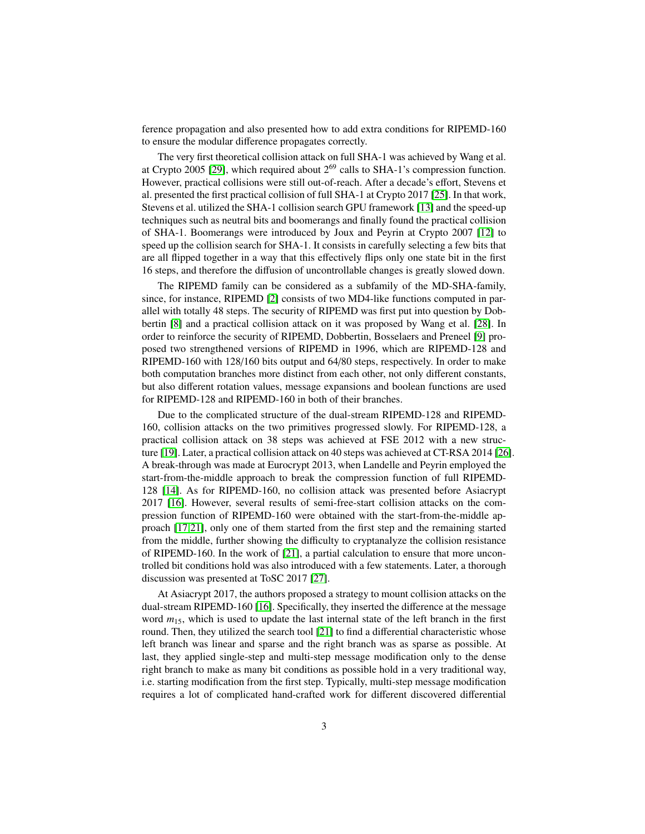ference propagation and also presented how to add extra conditions for RIPEMD-160 to ensure the modular difference propagates correctly.

The very first theoretical collision attack on full SHA-1 was achieved by Wang et al. at Crypto 2005 [\[29\]](#page-26-2), which required about  $2^{69}$  calls to SHA-1's compression function. However, practical collisions were still out-of-reach. After a decade's effort, Stevens et al. presented the first practical collision of full SHA-1 at Crypto 2017 [\[25\]](#page-26-6). In that work, Stevens et al. utilized the SHA-1 collision search GPU framework [\[13\]](#page-25-7) and the speed-up techniques such as neutral bits and boomerangs and finally found the practical collision of SHA-1. Boomerangs were introduced by Joux and Peyrin at Crypto 2007 [\[12\]](#page-25-8) to speed up the collision search for SHA-1. It consists in carefully selecting a few bits that are all flipped together in a way that this effectively flips only one state bit in the first 16 steps, and therefore the diffusion of uncontrollable changes is greatly slowed down.

The RIPEMD family can be considered as a subfamily of the MD-SHA-family, since, for instance, RIPEMD [\[2\]](#page-24-6) consists of two MD4-like functions computed in parallel with totally 48 steps. The security of RIPEMD was first put into question by Dobbertin [\[8\]](#page-24-7) and a practical collision attack on it was proposed by Wang et al. [\[28\]](#page-26-1). In order to reinforce the security of RIPEMD, Dobbertin, Bosselaers and Preneel [\[9\]](#page-24-8) proposed two strengthened versions of RIPEMD in 1996, which are RIPEMD-128 and RIPEMD-160 with 128/160 bits output and 64/80 steps, respectively. In order to make both computation branches more distinct from each other, not only different constants, but also different rotation values, message expansions and boolean functions are used for RIPEMD-128 and RIPEMD-160 in both of their branches.

Due to the complicated structure of the dual-stream RIPEMD-128 and RIPEMD-160, collision attacks on the two primitives progressed slowly. For RIPEMD-128, a practical collision attack on 38 steps was achieved at FSE 2012 with a new structure [\[19\]](#page-25-4). Later, a practical collision attack on 40 steps was achieved at CT-RSA 2014 [\[26\]](#page-26-7). A break-through was made at Eurocrypt 2013, when Landelle and Peyrin employed the start-from-the-middle approach to break the compression function of full RIPEMD-128 [\[14\]](#page-25-9). As for RIPEMD-160, no collision attack was presented before Asiacrypt 2017 [\[16\]](#page-25-2). However, several results of semi-free-start collision attacks on the compression function of RIPEMD-160 were obtained with the start-from-the-middle approach [\[17](#page-25-3)[,21\]](#page-25-6), only one of them started from the first step and the remaining started from the middle, further showing the difficulty to cryptanalyze the collision resistance of RIPEMD-160. In the work of [\[21\]](#page-25-6), a partial calculation to ensure that more uncontrolled bit conditions hold was also introduced with a few statements. Later, a thorough discussion was presented at ToSC 2017 [\[27\]](#page-26-8).

At Asiacrypt 2017, the authors proposed a strategy to mount collision attacks on the dual-stream RIPEMD-160 [\[16\]](#page-25-2). Specifically, they inserted the difference at the message word *m*15, which is used to update the last internal state of the left branch in the first round. Then, they utilized the search tool [\[21\]](#page-25-6) to find a differential characteristic whose left branch was linear and sparse and the right branch was as sparse as possible. At last, they applied single-step and multi-step message modification only to the dense right branch to make as many bit conditions as possible hold in a very traditional way, i.e. starting modification from the first step. Typically, multi-step message modification requires a lot of complicated hand-crafted work for different discovered differential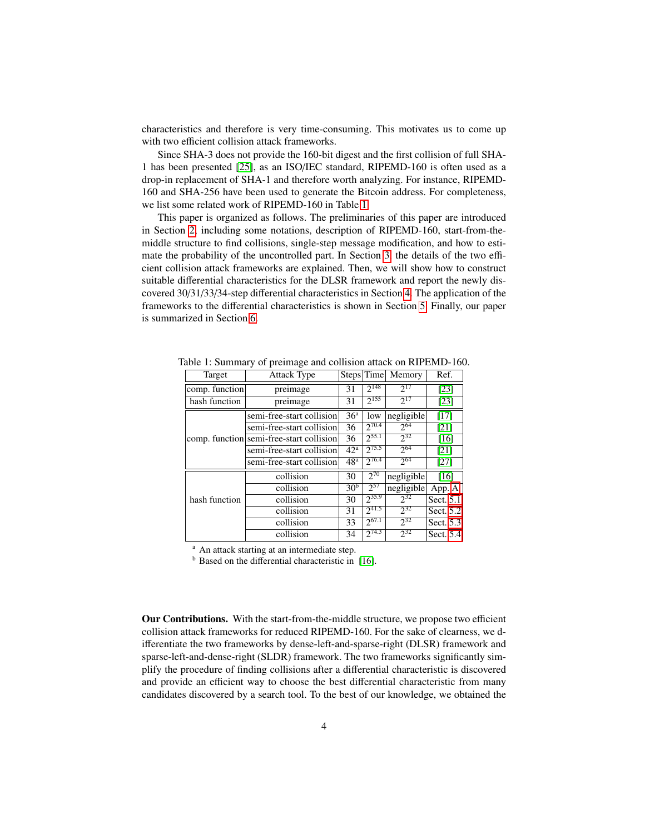characteristics and therefore is very time-consuming. This motivates us to come up with two efficient collision attack frameworks.

Since SHA-3 does not provide the 160-bit digest and the first collision of full SHA-1 has been presented [\[25\]](#page-26-6), as an ISO/IEC standard, RIPEMD-160 is often used as a drop-in replacement of SHA-1 and therefore worth analyzing. For instance, RIPEMD-160 and SHA-256 have been used to generate the Bitcoin address. For completeness, we list some related work of RIPEMD-160 in Table [1.](#page-3-0)

This paper is organized as follows. The preliminaries of this paper are introduced in Section [2,](#page-4-0) including some notations, description of RIPEMD-160, start-from-themiddle structure to find collisions, single-step message modification, and how to estimate the probability of the uncontrolled part. In Section [3,](#page-9-0) the details of the two efficient collision attack frameworks are explained. Then, we will show how to construct suitable differential characteristics for the DLSR framework and report the newly discovered 30/31/33/34-step differential characteristics in Section [4.](#page-14-0) The application of the frameworks to the differential characteristics is shown in Section [5.](#page-16-0) Finally, our paper is summarized in Section [6.](#page-23-0)

| Target         | <b>Attack Type</b>                       | Steps Time        |            | Memory     | Ref.               |
|----------------|------------------------------------------|-------------------|------------|------------|--------------------|
| comp. function | preimage                                 | 31                | $2^{148}$  | $2^{17}$   | [23]               |
| hash function  | preimage                                 | 31                | $2^{155}$  | $2^{17}$   | $\lceil 23 \rceil$ |
|                | semi-free-start collision                | 36 <sup>a</sup>   | low        | negligible | $[17]$             |
|                | semi-free-start collision                | 36                | $2^{70.4}$ | $2^{64}$   | $\lceil 21 \rceil$ |
|                | comp. function semi-free-start collision | 36                | $2^{55.1}$ | $2^{32}$   | [16]               |
|                | semi-free-start collision                | $42^{\mathrm{a}}$ | $2^{75.5}$ | $2^{64}$   | [21]               |
|                | semi-free-start collision                | 48 <sup>a</sup>   | $2^{76.4}$ | $2^{64}$   | $[27]$             |
|                | collision                                | 30                | $2^{70}$   | negligible | [16]               |
|                | collision                                | 30 <sup>b</sup>   | $2^{57}$   | negligible | App. A             |
| hash function  | collision                                | 30                | $2^{35.9}$ | $2^{32}$   | Sect. 5.1          |
|                | collision                                | 31                | $2^{41.5}$ | $2^{32}$   | Sect. 5.2          |
|                | collision                                | 33                | $2^{67.1}$ | $2^{32}$   | Sect. 5.3          |
|                | collision                                | 34                | $2^{74.3}$ | $2^{32}$   | Sect. 5.4          |

<span id="page-3-0"></span>Table 1: Summary of preimage and collision attack on RIPEMD-160.

<sup>a</sup> An attack starting at an intermediate step.

 $<sup>b</sup>$  Based on the differential characteristic in [\[16\]](#page-25-2).</sup>

Our Contributions. With the start-from-the-middle structure, we propose two efficient collision attack frameworks for reduced RIPEMD-160. For the sake of clearness, we differentiate the two frameworks by dense-left-and-sparse-right (DLSR) framework and sparse-left-and-dense-right (SLDR) framework. The two frameworks significantly simplify the procedure of finding collisions after a differential characteristic is discovered and provide an efficient way to choose the best differential characteristic from many candidates discovered by a search tool. To the best of our knowledge, we obtained the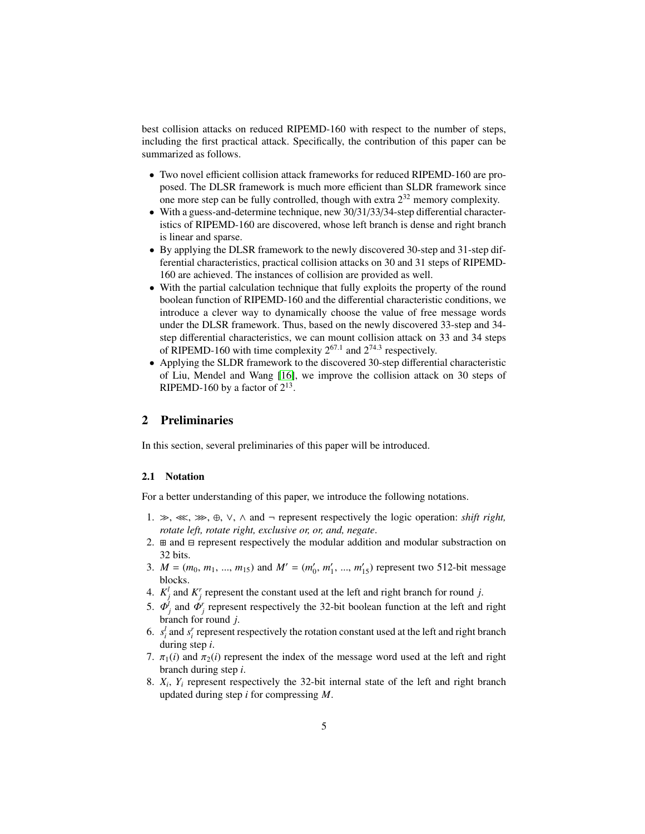best collision attacks on reduced RIPEMD-160 with respect to the number of steps, including the first practical attack. Specifically, the contribution of this paper can be summarized as follows.

- Two novel efficient collision attack frameworks for reduced RIPEMD-160 are proposed. The DLSR framework is much more efficient than SLDR framework since one more step can be fully controlled, though with extra  $2^{32}$  memory complexity.
- With a guess-and-determine technique, new 30/31/33/34-step differential characteristics of RIPEMD-160 are discovered, whose left branch is dense and right branch is linear and sparse.
- By applying the DLSR framework to the newly discovered 30-step and 31-step differential characteristics, practical collision attacks on 30 and 31 steps of RIPEMD-160 are achieved. The instances of collision are provided as well.
- With the partial calculation technique that fully exploits the property of the round boolean function of RIPEMD-160 and the differential characteristic conditions, we introduce a clever way to dynamically choose the value of free message words under the DLSR framework. Thus, based on the newly discovered 33-step and 34 step differential characteristics, we can mount collision attack on 33 and 34 steps of RIPEMD-160 with time complexity  $2^{67.1}$  and  $2^{74.3}$  respectively.
- Applying the SLDR framework to the discovered 30-step differential characteristic of Liu, Mendel and Wang [\[16\]](#page-25-2), we improve the collision attack on 30 steps of RIPEMD-160 by a factor of  $2^{13}$ .

# <span id="page-4-0"></span>2 Preliminaries

In this section, several preliminaries of this paper will be introduced.

### 2.1 Notation

For a better understanding of this paper, we introduce the following notations.

- 1. , ≪, ≫, ⊕, ∨, ∧ and ¬ represent respectively the logic operation: *shift right, rotate left, rotate right, exclusive or, or, and, negate*.
- 2.  $\equiv$  and  $\equiv$  represent respectively the modular addition and modular substraction on 32 bits.
- 3.  $M = (m_0, m_1, ..., m_{15})$  and  $M' = (m'_0, m'_1, ..., m'_{15})$  represent two 512-bit message blocks.
- 4.  $K_j^l$  and  $K_j^r$  represent the constant used at the left and right branch for round *j*.
- 5.  $\Phi^l_j$  and  $\Phi^r_j$  represent respectively the 32-bit boolean function at the left and right branch for round *i* branch for round *j*.
- 6.  $s_i^l$  and  $s_i^r$  represent respectively the rotation constant used at the left and right branch during step *i*.
- 7.  $\pi_1(i)$  and  $\pi_2(i)$  represent the index of the message word used at the left and right branch during step *i*.
- 8. *X<sup>i</sup>* , *Y<sup>i</sup>* represent respectively the 32-bit internal state of the left and right branch updated during step *i* for compressing *M*.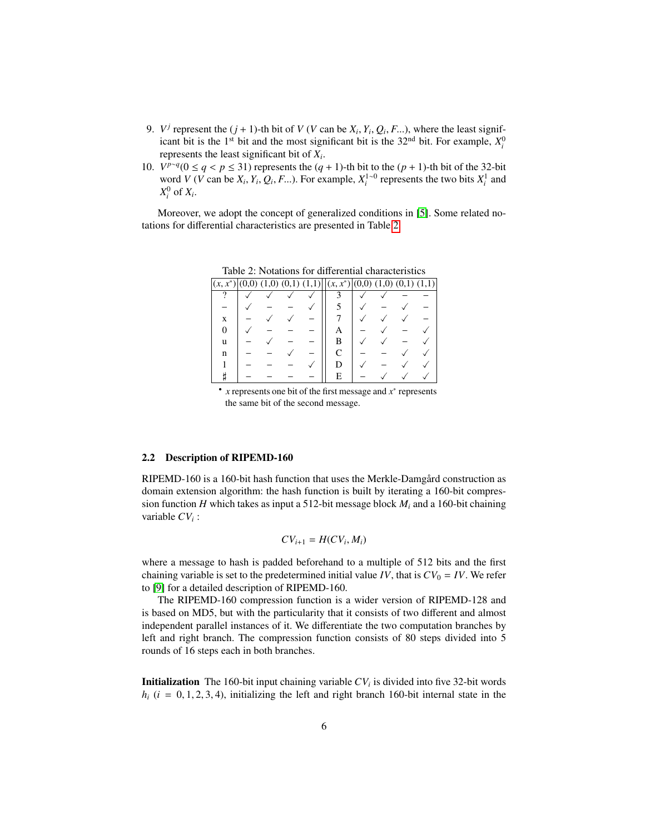- 9. *V*<sup>*j*</sup> represent the (*j* + 1)-th bit of *V* (*V* can be  $X_i$ ,  $Y_i$ ,  $Q_i$ ,  $F...$ ), where the least significant bit is the 32<sup>nd</sup> bit. For example  $X^0$ icant bit is the  $1<sup>st</sup>$  bit and the most significant bit is the  $32<sup>nd</sup>$  bit. For example,  $X_i^0$ represents the least significant bit of *X<sup>i</sup>* .
- 10.  $V^{p \sim q}$ (0  $\le q < p \le 31$ ) represents the  $(q + 1)$ -th bit to the  $(p + 1)$ -th bit of the 32-bit word  $V$  ( $V$  can be  $X_i$ ,  $Y_i$ ,  $Q_i$ ,  $F...$ ). For example,  $X_i^{1 \sim 0}$  represents the two bits  $X_i^1$  and  $X^0$  of  $Y$ .  $X_i^0$  of  $X_i$ .

<span id="page-5-0"></span>Moreover, we adopt the concept of generalized conditions in [\[5\]](#page-24-4). Some related notations for differential characteristics are presented in Table [2.](#page-5-0)

| $(x, x^*)$ |  | $\overline{(0,1)}$ | (1,1) |        | $(x, x^*) (0,0)$ | (1,0) | (0,1) | (1,1) |
|------------|--|--------------------|-------|--------|------------------|-------|-------|-------|
| റ          |  |                    |       |        |                  |       |       |       |
|            |  |                    |       |        |                  |       |       |       |
| X          |  |                    |       |        |                  |       |       |       |
| 0          |  |                    |       |        | Α                |       |       |       |
| u          |  |                    |       |        | B                |       |       |       |
| n          |  |                    |       |        | C                |       |       |       |
|            |  |                    |       |        | D                |       |       |       |
|            |  |                    |       |        | E                |       |       |       |
|            |  |                    |       | $\sim$ |                  |       |       |       |

Table 2: Notations for differential characteristics

• *x* represents one bit of the first message and *x* ∗ represents the same bit of the second message.

### 2.2 Description of RIPEMD-160

RIPEMD-160 is a 160-bit hash function that uses the Merkle-Damgård construction as domain extension algorithm: the hash function is built by iterating a 160-bit compression function *H* which takes as input a 512-bit message block *M<sup>i</sup>* and a 160-bit chaining variable *CV<sup>i</sup>* :

$$
CV_{i+1} = H(CV_i, M_i)
$$

where a message to hash is padded beforehand to a multiple of 512 bits and the first chaining variable is set to the predetermined initial value *IV*, that is  $CV_0 = IV$ . We refer to [\[9\]](#page-24-8) for a detailed description of RIPEMD-160.

The RIPEMD-160 compression function is a wider version of RIPEMD-128 and is based on MD5, but with the particularity that it consists of two different and almost independent parallel instances of it. We differentiate the two computation branches by left and right branch. The compression function consists of 80 steps divided into 5 rounds of 16 steps each in both branches.

Initialization The 160-bit input chaining variable *CV<sup>i</sup>* is divided into five 32-bit words  $h_i$  ( $i = 0, 1, 2, 3, 4$ ), initializing the left and right branch 160-bit internal state in the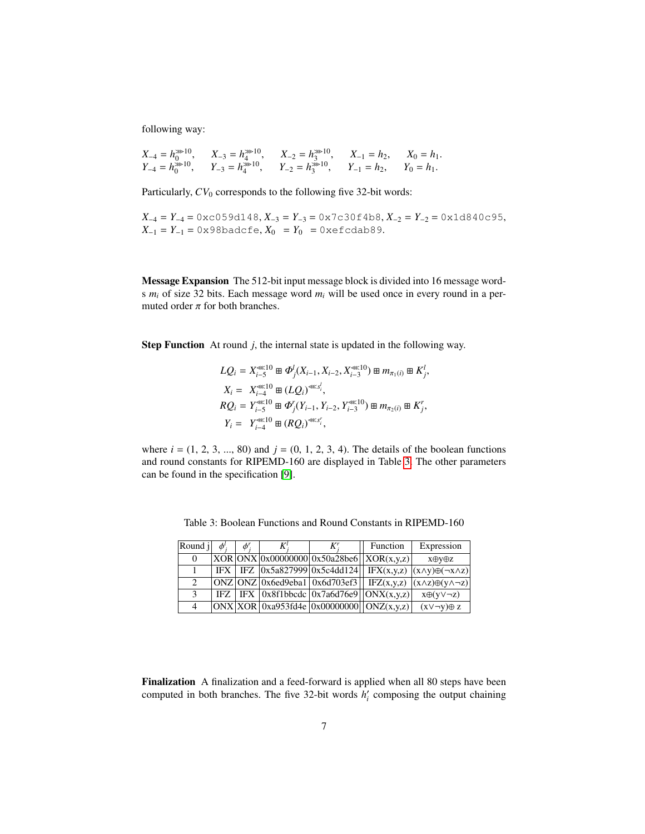following way:

$$
X_{-4} = h_0^{*}{}^{*}{}^{10}
$$
,  $X_{-3} = h_4^{*}{}^{*}{}^{10}$ ,  $X_{-2} = h_3^{*}{}^{10}$ ,  $X_{-1} = h_2$ ,  $X_0 = h_1$ .  
\n $Y_{-4} = h_0^{*}{}^{*}{}^{10}$ ,  $Y_{-3} = h_4^{*}{}^{*}{}^{10}$ ,  $Y_{-2} = h_3^{*}{}^{*}{}^{10}$ ,  $Y_{-1} = h_2$ ,  $Y_0 = h_1$ .

Particularly,  $CV_0$  corresponds to the following five 32-bit words:

$$
X_{-4} = Y_{-4} = 0 \times 059 \text{d}148, X_{-3} = Y_{-3} = 0 \times 7 \text{c}30 \text{f}4b8, X_{-2} = Y_{-2} = 0 \times 1 \text{d}840 \text{c}95, X_{-1} = Y_{-1} = 0 \times 98 \text{badcfe}, X_0 = Y_0 = 0 \times 61 \text{cde89}.
$$

Message Expansion The 512-bit input message block is divided into 16 message words  $m_i$  of size 32 bits. Each message word  $m_i$  will be used once in every round in a permuted order  $\pi$  for both branches.

Step Function At round *j*, the internal state is updated in the following way.

$$
LQ_i = X_{i-5}^{* \le 10} \boxplus \Phi_j^l(X_{i-1}, X_{i-2}, X_{i-3}^{* \le 10}) \boxplus m_{\pi_1(i)} \boxplus K_j^l,
$$
  
\n
$$
X_i = X_{i-4}^{* \le 10} \boxplus (LQ_i)^{* \le s_i^l},
$$
  
\n
$$
RQ_i = Y_{i-5}^{* \le 10} \boxplus \Phi_j^r(Y_{i-1}, Y_{i-2}, Y_{i-3}^{* \le 10}) \boxplus m_{\pi_2(i)} \boxplus K_j^r,
$$
  
\n
$$
Y_i = Y_{i-4}^{* \le 10} \boxplus (RQ_i)^{* \le s_i^r},
$$

where  $i = (1, 2, 3, ..., 80)$  and  $j = (0, 1, 2, 3, 4)$ . The details of the boolean functions and round constants for RIPEMD-160 are displayed in Table [3.](#page-6-0) The other parameters can be found in the specification [\[9\]](#page-24-8).

| Round i | $\phi^l$ . | $\phi^r$ . | $K^l$ | $K^r$                                                | Function | Expression                                                                                          |
|---------|------------|------------|-------|------------------------------------------------------|----------|-----------------------------------------------------------------------------------------------------|
|         |            |            |       | $XOR$ ONX 0x00000000 0x50a28be6 $ XOR(x,y,z) $       |          | x⊕y⊕z                                                                                               |
|         |            |            |       |                                                      |          | IFX   IFZ   0x5a827999   0x5c4dd124     IFX(x,y,z)   (x $\wedge$ y) $\oplus$ ( $\neg$ x $\wedge$ z) |
|         |            |            |       |                                                      |          | $ ONZ $ ONZ $ OX6ed9eba1 0x6d703ef3 $ IFZ(x,y,z) $ (x\land z)\oplus(y\land\neg z)$                  |
|         |            |            |       | IFZ   IFX   0x8f1bbcdc   0x7a6d76e9   $ ONX(x,y,z) $ |          | $X \oplus (V \vee \neg Z)$                                                                          |
|         |            |            |       | $ ONX XOR 0xa953fd4e 0x00000000 0X(x,y,z) $          |          | $(x \vee \neg y) \oplus z$                                                                          |

<span id="page-6-0"></span>Table 3: Boolean Functions and Round Constants in RIPEMD-160

Finalization A finalization and a feed-forward is applied when all 80 steps have been computed in both branches. The five  $32$ -bit words  $h_i$ <sup>'</sup> composing the output chaining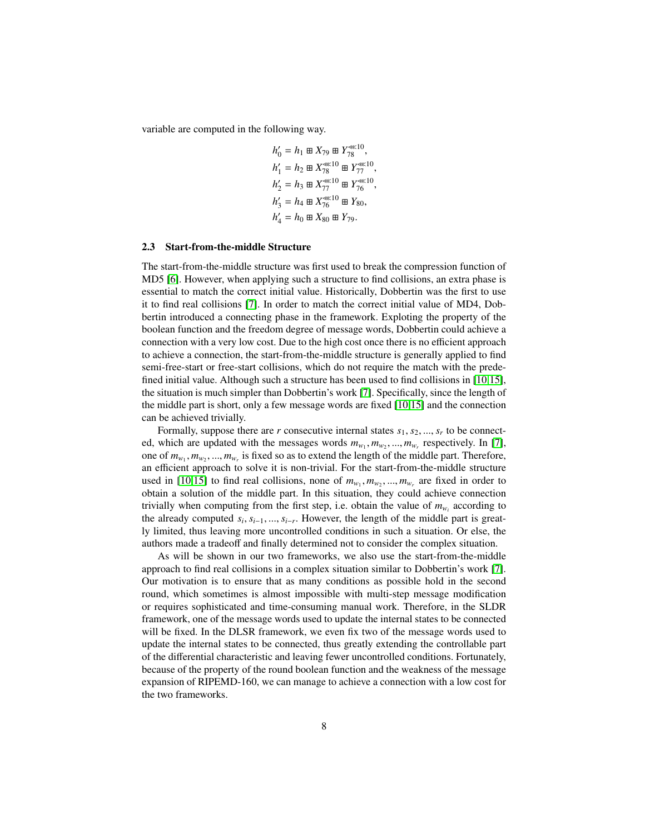variable are computed in the following way.

$$
h'_0 = h_1 \boxplus X_{79} \boxplus Y_{78}^{\ll 10},
$$
  
\n
$$
h'_1 = h_2 \boxplus X_{78}^{\ll 10} \boxplus Y_{77}^{\ll 10},
$$
  
\n
$$
h'_2 = h_3 \boxplus X_{77}^{\ll 10} \boxplus Y_{76}^{\ll 10},
$$
  
\n
$$
h'_3 = h_4 \boxplus X_{76}^{\ll 10} \boxplus Y_{80},
$$
  
\n
$$
h'_4 = h_0 \boxplus X_{80} \boxplus Y_{79}.
$$

#### 2.3 Start-from-the-middle Structure

The start-from-the-middle structure was first used to break the compression function of MD5 [\[6\]](#page-24-1). However, when applying such a structure to find collisions, an extra phase is essential to match the correct initial value. Historically, Dobbertin was the first to use it to find real collisions [\[7\]](#page-24-2). In order to match the correct initial value of MD4, Dobbertin introduced a connecting phase in the framework. Exploting the property of the boolean function and the freedom degree of message words, Dobbertin could achieve a connection with a very low cost. Due to the high cost once there is no efficient approach to achieve a connection, the start-from-the-middle structure is generally applied to find semi-free-start or free-start collisions, which do not require the match with the predefined initial value. Although such a structure has been used to find collisions in [\[10](#page-24-5)[,15\]](#page-25-10), the situation is much simpler than Dobbertin's work [\[7\]](#page-24-2). Specifically, since the length of the middle part is short, only a few message words are fixed [\[10](#page-24-5)[,15\]](#page-25-10) and the connection can be achieved trivially.

Formally, suppose there are *r* consecutive internal states  $s_1, s_2, ..., s_r$  to be connect-<br>which are undated with the messages words m m m respectively In [7] ed, which are updated with the messages words  $m_{w_1}, m_{w_2}, ..., m_{w_r}$  respectively. In [\[7\]](#page-24-2), one of *m*<sub>*m*</sub> *m*<sub>*m*</sub> is fixed so as to extend the length of the middle part. Therefore one of  $m_{w_1}, m_{w_2}, ..., m_{w_r}$  is fixed so as to extend the length of the middle part. Therefore, an efficient approach to solve it is non-trivial. For the start-from-the-middle structure an efficient approach to solve it is non-trivial. For the start-from-the-middle structure used in [\[10,](#page-24-5)[15\]](#page-25-10) to find real collisions, none of  $m_{w_1}, m_{w_2}, ..., m_{w_r}$  are fixed in order to obtain a solution of the middle part. In this situation, they could achieve connection obtain a solution of the middle part. In this situation, they could achieve connection trivially when computing from the first step, i.e. obtain the value of  $m_{w_i}$  according to the already computed  $s_i, s_{i-1}, ..., s_{i-r}$ . However, the length of the middle part is great-<br>Iv limited, thus leaving more uncontrolled conditions in such a situation. Or else, the ly limited, thus leaving more uncontrolled conditions in such a situation. Or else, the authors made a tradeoff and finally determined not to consider the complex situation.

As will be shown in our two frameworks, we also use the start-from-the-middle approach to find real collisions in a complex situation similar to Dobbertin's work [\[7\]](#page-24-2). Our motivation is to ensure that as many conditions as possible hold in the second round, which sometimes is almost impossible with multi-step message modification or requires sophisticated and time-consuming manual work. Therefore, in the SLDR framework, one of the message words used to update the internal states to be connected will be fixed. In the DLSR framework, we even fix two of the message words used to update the internal states to be connected, thus greatly extending the controllable part of the differential characteristic and leaving fewer uncontrolled conditions. Fortunately, because of the property of the round boolean function and the weakness of the message expansion of RIPEMD-160, we can manage to achieve a connection with a low cost for the two frameworks.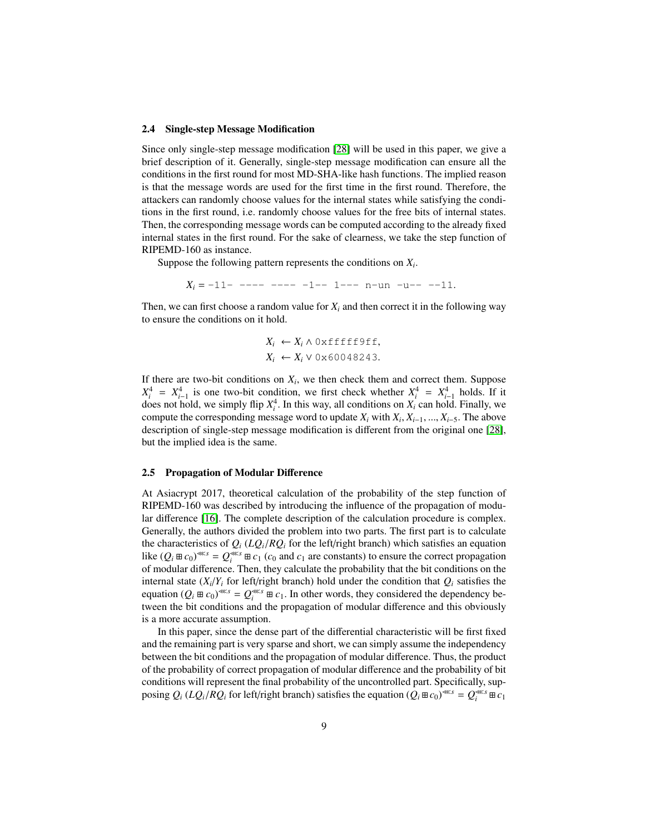#### 2.4 Single-step Message Modification

Since only single-step message modification [\[28\]](#page-26-1) will be used in this paper, we give a brief description of it. Generally, single-step message modification can ensure all the conditions in the first round for most MD-SHA-like hash functions. The implied reason is that the message words are used for the first time in the first round. Therefore, the attackers can randomly choose values for the internal states while satisfying the conditions in the first round, i.e. randomly choose values for the free bits of internal states. Then, the corresponding message words can be computed according to the already fixed internal states in the first round. For the sake of clearness, we take the step function of RIPEMD-160 as instance.

Suppose the following pattern represents the conditions on  $X_i$ .

 $X_i = -11$ - ---- ---- -1-- 1--- n-un -u-- --11.

Then, we can first choose a random value for  $X_i$  and then correct it in the following way to ensure the conditions on it hold.

$$
X_i \leftarrow X_i \land 0 \times \text{effff9ff},
$$
  

$$
X_i \leftarrow X_i \lor 0 \times 60048243.
$$

If there are two-bit conditions on *X<sup>i</sup>* , we then check them and correct them. Suppose  $X_i^4 = X_{i-1}^4$  is one two-bit condition, we first check whether  $X_i^4 = X_{i-1}^4$  holds. If it does not hold, we simply flip  $X_i^4$ . In this way, all conditions on  $X_i$  can hold. Finally, we compute the corresponding message word to update  $X_i$  with  $X_i, X_{i-1}, ..., X_{i-5}$ . The above description of single-step message modification is different from the original one [28] description of single-step message modification is different from the original one [\[28\]](#page-26-1), but the implied idea is the same.

### 2.5 Propagation of Modular Difference

At Asiacrypt 2017, theoretical calculation of the probability of the step function of RIPEMD-160 was described by introducing the influence of the propagation of modular difference [\[16\]](#page-25-2). The complete description of the calculation procedure is complex. Generally, the authors divided the problem into two parts. The first part is to calculate the characteristics of  $Q_i$  ( $LQ_i/RQ_i$  for the left/right branch) which satisfies an equation like  $(Q_i \boxplus c_0)^{\lll s} = Q_i^{\lll s} \boxplus c_1$  ( $c_0$  and  $c_1$  are constants) to ensure the correct propagation of modular difference. Then, they calculate the probability that the bit conditions on the internal state  $(X_i/Y_i)$  for left/right branch) hold under the condition that  $Q_i$  satisfies the equation  $(Q_i \boxplus c_0)^{\lll s} = Q_i^{\lll s} \boxplus c_1$ . In other words, they considered the dependency between the bit conditions and the propagation of modular difference and this obviously is a more accurate assumption.

In this paper, since the dense part of the differential characteristic will be first fixed and the remaining part is very sparse and short, we can simply assume the independency between the bit conditions and the propagation of modular difference. Thus, the product of the probability of correct propagation of modular difference and the probability of bit conditions will represent the final probability of the uncontrolled part. Specifically, supposing  $Q_i$  ( $LQ_i/RQ_i$  for left/right branch) satisfies the equation ( $Q_i \boxplus c_0$ ) \*\*\*  $= Q_i^{***} \boxplus c_1$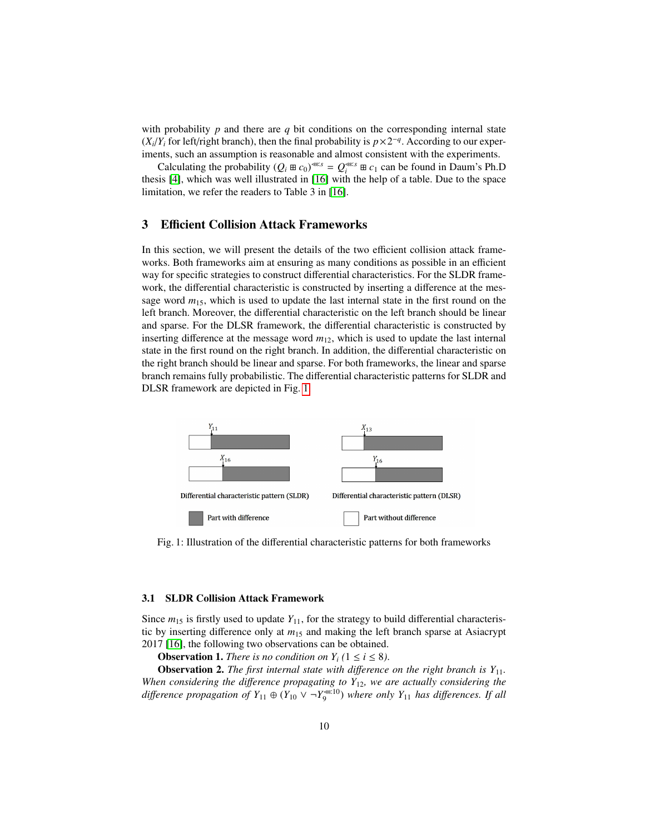with probability  $p$  and there are  $q$  bit conditions on the corresponding internal state  $(X_i/Y_i$  for left/right branch), then the final probability is  $p \times 2^{-q}$ . According to our experiments, such an assumption is reasonable and almost consistent with the experiments.

Calculating the probability  $(Q_i \boxplus c_0)^{\lll s} = Q_i^{\lll s} \boxplus c_1$  can be found in Daum's Ph.D thesis [\[4\]](#page-24-9), which was well illustrated in [\[16\]](#page-25-2) with the help of a table. Due to the space limitation, we refer the readers to Table 3 in [\[16\]](#page-25-2).

# <span id="page-9-0"></span>3 Efficient Collision Attack Frameworks

In this section, we will present the details of the two efficient collision attack frameworks. Both frameworks aim at ensuring as many conditions as possible in an efficient way for specific strategies to construct differential characteristics. For the SLDR framework, the differential characteristic is constructed by inserting a difference at the message word  $m<sub>15</sub>$ , which is used to update the last internal state in the first round on the left branch. Moreover, the differential characteristic on the left branch should be linear and sparse. For the DLSR framework, the differential characteristic is constructed by inserting difference at the message word *m*12, which is used to update the last internal state in the first round on the right branch. In addition, the differential characteristic on the right branch should be linear and sparse. For both frameworks, the linear and sparse branch remains fully probabilistic. The differential characteristic patterns for SLDR and DLSR framework are depicted in Fig. [1.](#page-9-1)

<span id="page-9-1"></span>

Fig. 1: Illustration of the differential characteristic patterns for both frameworks

### 3.1 SLDR Collision Attack Framework

Since  $m_{15}$  is firstly used to update  $Y_{11}$ , for the strategy to build differential characteristic by inserting difference only at  $m_{15}$  and making the left branch sparse at Asiacrypt 2017 [\[16\]](#page-25-2), the following two observations can be obtained.

**Observation 1.** *There is no condition on*  $Y_i$  ( $1 \le i \le 8$ ).

Observation 2. *The first internal state with di*ff*erence on the right branch is Y*11*. When considering the di*ff*erence propagating to Y*12*, we are actually considering the* difference propagation of  $Y_{11} \oplus (Y_{10} \vee \neg Y_{9}^{\ll 10})$  where only  $Y_{11}$  has differences. If all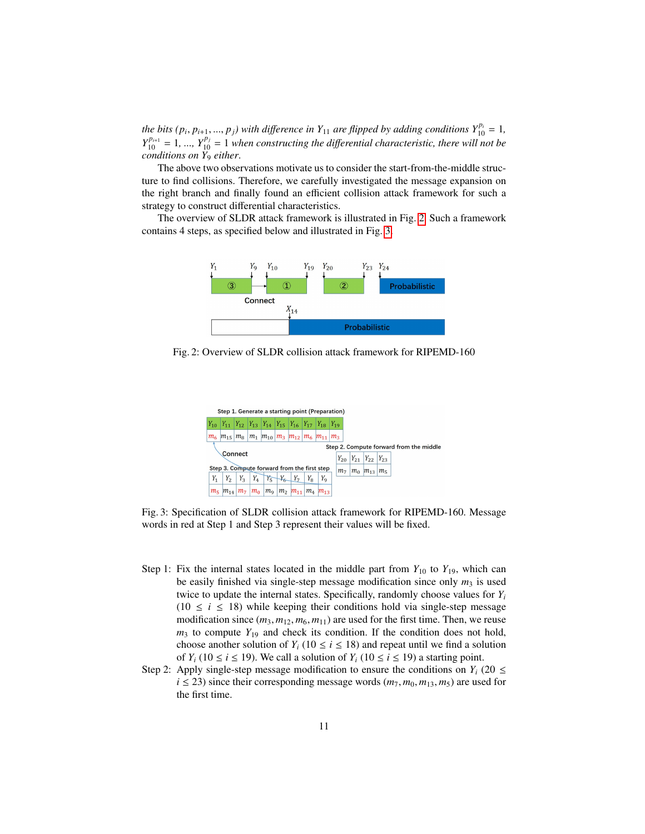*the bits (p<sub>i</sub>*, *p*<sub>*i*+1</sub>, ..., *p<sub>j</sub>*) with difference in  $Y_{11}$  are flipped by adding conditions  $Y_{10}^{p_i} = 1$ ,  $Y_{11}^{p_i} = 1$  when constructing the differential characteristic there will not be  $Y_{10}^{p_{i+1}} = 1$ , ...,  $Y_{10}^{p_j} = 1$  when constructing the differential characteristic, there will not be *conditions on Y*<sup>9</sup> *either*.

The above two observations motivate us to consider the start-from-the-middle structure to find collisions. Therefore, we carefully investigated the message expansion on the right branch and finally found an efficient collision attack framework for such a strategy to construct differential characteristics.

<span id="page-10-0"></span>The overview of SLDR attack framework is illustrated in Fig. [2.](#page-10-0) Such a framework contains 4 steps, as specified below and illustrated in Fig. [3.](#page-10-1)



Fig. 2: Overview of SLDR collision attack framework for RIPEMD-160

<span id="page-10-1"></span>

Fig. 3: Specification of SLDR collision attack framework for RIPEMD-160. Message words in red at Step 1 and Step 3 represent their values will be fixed.

- Step 1: Fix the internal states located in the middle part from  $Y_{10}$  to  $Y_{19}$ , which can be easily finished via single-step message modification since only  $m_3$  is used twice to update the internal states. Specifically, randomly choose values for *Y<sup>i</sup>*  $(10 \le i \le 18)$  while keeping their conditions hold via single-step message modification since  $(m_3, m_{12}, m_6, m_{11})$  are used for the first time. Then, we reuse  $m_3$  to compute  $Y_{19}$  and check its condition. If the condition does not hold, choose another solution of  $Y_i$  (10  $\le i \le 18$ ) and repeat until we find a solution of  $Y_i$  (10  $\le i \le 19$ ). We call a solution of  $Y_i$  (10  $\le i \le 19$ ) a starting point.
- Step 2: Apply single-step message modification to ensure the conditions on  $Y_i$  (20  $\leq$  $i \le 23$ ) since their corresponding message words  $(m_7, m_0, m_{13}, m_5)$  are used for the first time.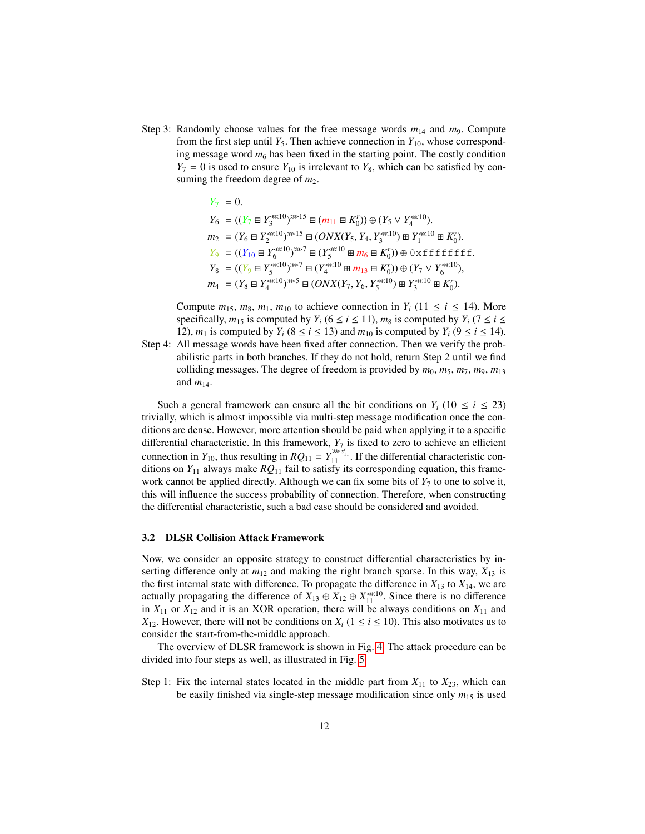Step 3: Randomly choose values for the free message words  $m_{14}$  and  $m_9$ . Compute from the first step until  $Y_5$ . Then achieve connection in  $Y_{10}$ , whose corresponding message word  $m_6$  has been fixed in the starting point. The costly condition  $Y_7 = 0$  is used to ensure  $Y_{10}$  is irrelevant to  $Y_8$ , which can be satisfied by consuming the freedom degree of  $m_2$ .

$$
Y_7 = 0.
$$
  
\n
$$
Y_6 = ((Y_7 \boxplus Y_3^{\ll 10})^{\gg 15} \boxminus (m_{11} \boxplus K_0^r)) \oplus (Y_5 \vee \overline{Y_4^{\ll 10}}).
$$
  
\n
$$
m_2 = (Y_6 \boxplus Y_2^{\ll 10})^{\gg 15} \boxminus (ONX(Y_5, Y_4, Y_3^{\ll 10}) \boxplus Y_1^{\ll 10} \boxplus K_0^r).
$$
  
\n
$$
Y_9 = ((Y_{10} \boxplus Y_6^{\ll 10})^{\gg 7} \boxplus (Y_5^{\ll 10} \boxplus m_6 \boxplus K_0^r)) \oplus 0 \times \text{effiff}.
$$
  
\n
$$
Y_8 = ((Y_9 \boxplus Y_5^{\ll 10})^{\gg 7} \boxplus (Y_4^{\ll 10} \boxplus m_{13} \boxplus K_0^r)) \oplus (Y_7 \vee Y_6^{\ll 10}),
$$
  
\n
$$
m_4 = (Y_8 \boxplus Y_4^{\ll 10})^{\gg 5} \boxplus (ONX(Y_7, Y_6, Y_5^{\ll 10}) \boxplus Y_3^{\ll 10} \boxplus K_0^r).
$$

Compute  $m_{15}$ ,  $m_8$ ,  $m_1$ ,  $m_{10}$  to achieve connection in  $Y_i$  (11  $\leq i \leq 14$ ). More specifically,  $m_{15}$  is computed by  $Y_i$  ( $6 \le i \le 11$ ),  $m_8$  is computed by  $Y_i$  ( $7 \le i \le 11$ ) 12),  $m_1$  is computed by  $Y_i$  ( $8 \le i \le 13$ ) and  $m_{10}$  is computed by  $Y_i$  ( $9 \le i \le 14$ ).

Step 4: All message words have been fixed after connection. Then we verify the probabilistic parts in both branches. If they do not hold, return Step 2 until we find colliding messages. The degree of freedom is provided by  $m_0$ ,  $m_5$ ,  $m_7$ ,  $m_9$ ,  $m_{13}$ and  $m_{14}$ .

Such a general framework can ensure all the bit conditions on  $Y_i$  (10  $\le i \le 23$ ) trivially, which is almost impossible via multi-step message modification once the conditions are dense. However, more attention should be paid when applying it to a specific differential characteristic. In this framework, *Y*<sup>7</sup> is fixed to zero to achieve an efficient connection in  $Y_{10}$ , thus resulting in  $RQ_{11} = Y_{11}^{\gg s'_{11}}$ . If the differential characteristic conditions on *Y*<sup>11</sup> always make *RQ*<sup>11</sup> fail to satisfy its corresponding equation, this framework cannot be applied directly. Although we can fix some bits of  $Y_7$  to one to solve it, this will influence the success probability of connection. Therefore, when constructing the differential characteristic, such a bad case should be considered and avoided.

### 3.2 DLSR Collision Attack Framework

Now, we consider an opposite strategy to construct differential characteristics by inserting difference only at  $m_{12}$  and making the right branch sparse. In this way,  $X_{13}$  is the first internal state with difference. To propagate the difference in  $X_{13}$  to  $X_{14}$ , we are actually propagating the difference of  $X_{13} \oplus X_{12} \oplus X_{11}^{\ll 10}$ . Since there is no difference in  $X_{11}$  or  $X_{12}$  and it is an XOR operation, there will be always conditions on  $X_{11}$  and *X*<sub>12</sub>. However, there will not be conditions on  $X_i$  ( $1 \le i \le 10$ ). This also motivates us to consider the start-from-the-middle approach.

The overview of DLSR framework is shown in Fig. [4.](#page-12-0) The attack procedure can be divided into four steps as well, as illustrated in Fig. [5.](#page-12-1)

Step 1: Fix the internal states located in the middle part from  $X_{11}$  to  $X_{23}$ , which can be easily finished via single-step message modification since only  $m_{15}$  is used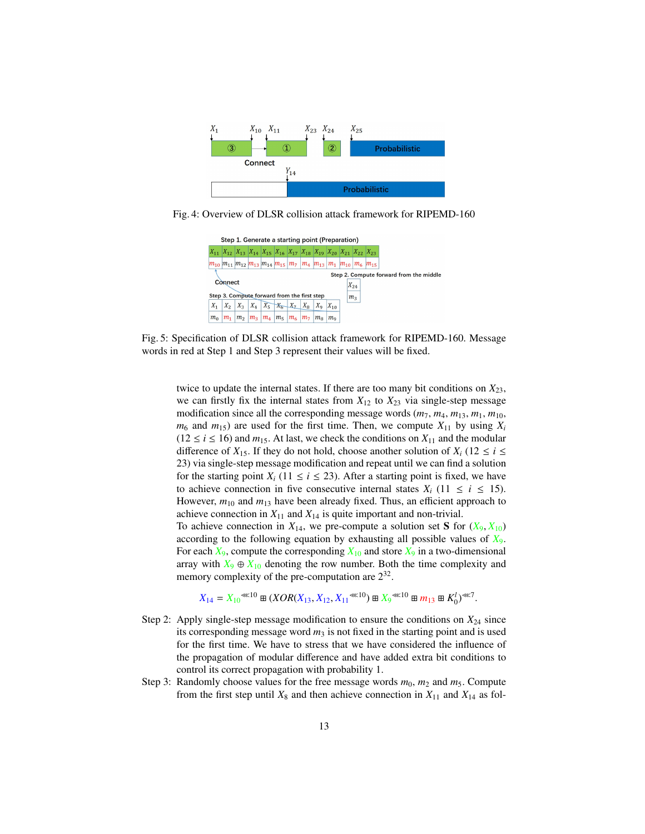<span id="page-12-0"></span>

<span id="page-12-1"></span>Fig. 4: Overview of DLSR collision attack framework for RIPEMD-160



Fig. 5: Specification of DLSR collision attack framework for RIPEMD-160. Message words in red at Step 1 and Step 3 represent their values will be fixed.

twice to update the internal states. If there are too many bit conditions on  $X_{23}$ , we can firstly fix the internal states from  $X_{12}$  to  $X_{23}$  via single-step message modification since all the corresponding message words  $(m_7, m_4, m_{13}, m_1, m_{10},$  $m_6$  and  $m_{15}$ ) are used for the first time. Then, we compute  $X_{11}$  by using  $X_i$  $(12 \le i \le 16)$  and  $m_{15}$ . At last, we check the conditions on  $X_{11}$  and the modular difference of  $X_{15}$ . If they do not hold, choose another solution of  $X_i$  (12  $\leq i \leq$ 23) via single-step message modification and repeat until we can find a solution for the starting point  $X_i$  (11  $\leq i \leq 23$ ). After a starting point is fixed, we have to achieve connection in five consecutive internal states  $X_i$  (11  $\leq i \leq 15$ ). However,  $m_{10}$  and  $m_{13}$  have been already fixed. Thus, an efficient approach to achieve connection in  $X_{11}$  and  $X_{14}$  is quite important and non-trivial.

To achieve connection in  $X_{14}$ , we pre-compute a solution set **S** for  $(X_9, X_{10})$ according to the following equation by exhausting all possible values of *X*9. For each  $\overline{X_9}$ , compute the corresponding  $\overline{X_{10}}$  and store  $\overline{X_9}$  in a two-dimensional array with  $X_9 \oplus X_{10}$  denoting the row number. Both the time complexity and memory complexity of the pre-computation are  $2^{32}$ .

$$
X_{14} = X_{10}^{(4)} \oplus (XOR(X_{13}, X_{12}, X_{11}^{(4)}) \oplus X_9^{(4)} \oplus m_{13} \oplus K_0^{1})^{(4)}.
$$

- Step 2: Apply single-step message modification to ensure the conditions on  $X_{24}$  since its corresponding message word  $m<sub>3</sub>$  is not fixed in the starting point and is used for the first time. We have to stress that we have considered the influence of the propagation of modular difference and have added extra bit conditions to control its correct propagation with probability 1.
- Step 3: Randomly choose values for the free message words  $m_0$ ,  $m_2$  and  $m_5$ . Compute from the first step until  $X_8$  and then achieve connection in  $X_{11}$  and  $X_{14}$  as fol-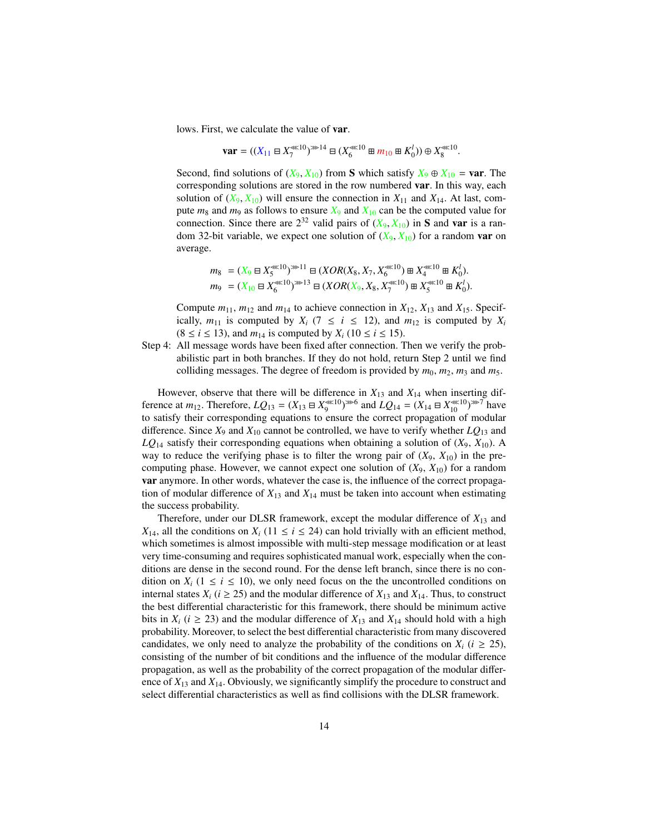lows. First, we calculate the value of **var**.

$$
\mathbf{var} = ((X_{11} \boxminus X_7^{\ll 10})^{\gg 14} \boxminus (X_6^{\ll 10} \boxplus m_{10} \boxplus K_0^l)) \oplus X_8^{\ll 10}
$$

Second, find solutions of  $(X_9, X_{10})$  from S which satisfy  $X_9 \oplus X_{10} = \text{var}$ . The corresponding solutions are stored in the row numbered var. In this way, each solution of  $(X_9, X_{10})$  will ensure the connection in  $X_{11}$  and  $X_{14}$ . At last, compute  $m_8$  and  $m_9$  as follows to ensure  $X_9$  and  $X_{10}$  can be the computed value for connection. Since there are  $2^{32}$  valid pairs of  $(X_9, X_{10})$  in S and var is a random 32-bit variable, we expect one solution of  $(X_9, X_{10})$  for a random var on average.

$$
m_8 = (X_9 \boxplus X_5^{\ll 10})^{\gg 11} \boxplus (XOR(X_8, X_7, X_6^{\ll 10}) \boxplus X_4^{\ll 10} \boxplus K_0^l).
$$
  
\n
$$
m_9 = (X_{10} \boxplus X_6^{\ll 10})^{\gg 13} \boxplus (XOR(X_9, X_8, X_7^{\ll 10}) \boxplus X_5^{\ll 10} \boxplus K_0^l).
$$

Compute  $m_{11}$ ,  $m_{12}$  and  $m_{14}$  to achieve connection in  $X_{12}$ ,  $X_{13}$  and  $X_{15}$ . Specifically,  $m_{11}$  is computed by  $X_i$  ( $7 \le i \le 12$ ), and  $m_{12}$  is computed by  $X_i$  $(8 \le i \le 13)$ , and  $m_{14}$  is computed by  $X_i$  (10  $\le i \le 15$ ).

Step 4: All message words have been fixed after connection. Then we verify the probabilistic part in both branches. If they do not hold, return Step 2 until we find colliding messages. The degree of freedom is provided by  $m_0$ ,  $m_2$ ,  $m_3$  and  $m_5$ .

However, observe that there will be difference in  $X_{13}$  and  $X_{14}$  when inserting difference at  $m_{12}$ . Therefore,  $LQ_{13} = (X_{13} \boxminus X_9^{\ll 10})^{\gg 6}$  and  $LQ_{14} = (X_{14} \boxminus X_{10}^{\ll 10})^{\gg 7}$  have to satisfy their corresponding equations to ensure the correct propagation of modular difference. Since  $X_9$  and  $X_{10}$  cannot be controlled, we have to verify whether  $LQ_{13}$  and  $LQ_{14}$  satisfy their corresponding equations when obtaining a solution of  $(X_9, X_{10})$ . A way to reduce the verifying phase is to filter the wrong pair of  $(X_9, X_{10})$  in the precomputing phase. However, we cannot expect one solution of  $(X_9, X_{10})$  for a random var anymore. In other words, whatever the case is, the influence of the correct propagation of modular difference of  $X_{13}$  and  $X_{14}$  must be taken into account when estimating the success probability.

Therefore, under our DLSR framework, except the modular difference of *X*<sup>13</sup> and *X*<sub>14</sub>, all the conditions on  $X_i$  (11  $\leq i \leq 24$ ) can hold trivially with an efficient method, which sometimes is almost impossible with multi-step message modification or at least very time-consuming and requires sophisticated manual work, especially when the conditions are dense in the second round. For the dense left branch, since there is no condition on  $X_i$  ( $1 \le i \le 10$ ), we only need focus on the the uncontrolled conditions on internal states  $X_i$  ( $i \ge 25$ ) and the modular difference of  $X_{13}$  and  $X_{14}$ . Thus, to construct the best differential characteristic for this framework, there should be minimum active bits in  $X_i$  ( $i \ge 23$ ) and the modular difference of  $X_{13}$  and  $X_{14}$  should hold with a high probability. Moreover, to select the best differential characteristic from many discovered candidates, we only need to analyze the probability of the conditions on  $X_i$  ( $i \geq 25$ ), consisting of the number of bit conditions and the influence of the modular difference propagation, as well as the probability of the correct propagation of the modular difference of  $X_{13}$  and  $X_{14}$ . Obviously, we significantly simplify the procedure to construct and select differential characteristics as well as find collisions with the DLSR framework.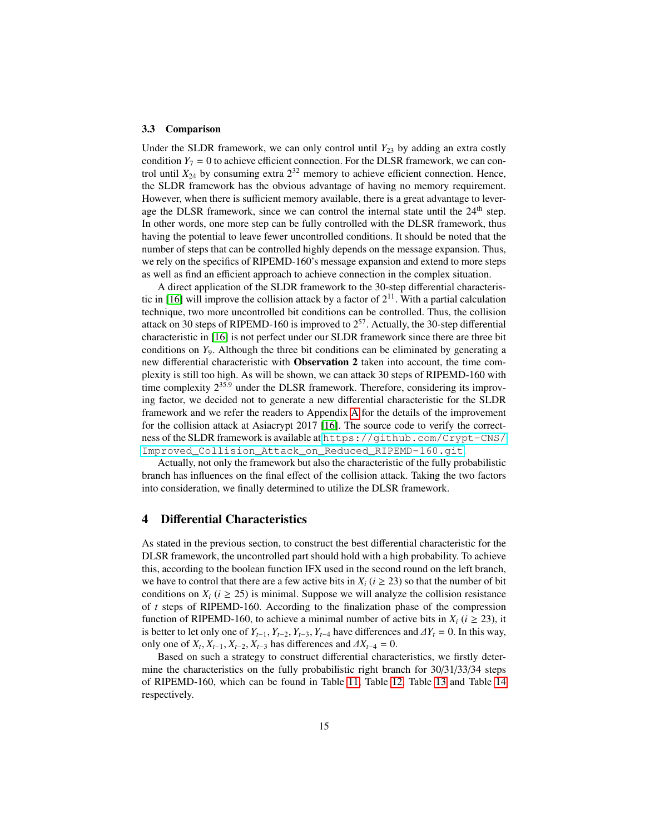### 3.3 Comparison

Under the SLDR framework, we can only control until  $Y_{23}$  by adding an extra costly condition  $Y_7 = 0$  to achieve efficient connection. For the DLSR framework, we can control until  $X_{24}$  by consuming extra  $2^{32}$  memory to achieve efficient connection. Hence, the SLDR framework has the obvious advantage of having no memory requirement. However, when there is sufficient memory available, there is a great advantage to leverage the DLSR framework, since we can control the internal state until the  $24<sup>th</sup>$  step. In other words, one more step can be fully controlled with the DLSR framework, thus having the potential to leave fewer uncontrolled conditions. It should be noted that the number of steps that can be controlled highly depends on the message expansion. Thus, we rely on the specifics of RIPEMD-160's message expansion and extend to more steps as well as find an efficient approach to achieve connection in the complex situation.

A direct application of the SLDR framework to the 30-step differential characteris-tic in [\[16\]](#page-25-2) will improve the collision attack by a factor of  $2^{11}$ . With a partial calculation technique, two more uncontrolled bit conditions can be controlled. Thus, the collision attack on 30 steps of RIPEMD-160 is improved to  $2^{57}$ . Actually, the 30-step differential characteristic in [\[16\]](#page-25-2) is not perfect under our SLDR framework since there are three bit conditions on *Y*9. Although the three bit conditions can be eliminated by generating a new differential characteristic with Observation 2 taken into account, the time complexity is still too high. As will be shown, we can attack 30 steps of RIPEMD-160 with time complexity  $2^{35.9}$  under the DLSR framework. Therefore, considering its improving factor, we decided not to generate a new differential characteristic for the SLDR framework and we refer the readers to Appendix [A](#page-26-10) for the details of the improvement for the collision attack at Asiacrypt 2017 [\[16\]](#page-25-2). The source code to verify the correctness of the SLDR framework is available at [https://github.com/Crypt-CNS/](https://github.com/Crypt-CNS/Improved_Collision_Attack_on_Reduced_RIPEMD-160.git) [Improved\\_Collision\\_Attack\\_on\\_Reduced\\_RIPEMD-160.git](https://github.com/Crypt-CNS/Improved_Collision_Attack_on_Reduced_RIPEMD-160.git).

Actually, not only the framework but also the characteristic of the fully probabilistic branch has influences on the final effect of the collision attack. Taking the two factors into consideration, we finally determined to utilize the DLSR framework.

### <span id="page-14-0"></span>4 Differential Characteristics

As stated in the previous section, to construct the best differential characteristic for the DLSR framework, the uncontrolled part should hold with a high probability. To achieve this, according to the boolean function IFX used in the second round on the left branch, we have to control that there are a few active bits in  $X_i$  ( $i \geq 23$ ) so that the number of bit conditions on  $X_i$  ( $i \geq 25$ ) is minimal. Suppose we will analyze the collision resistance of *t* steps of RIPEMD-160. According to the finalization phase of the compression function of RIPEMD-160, to achieve a minimal number of active bits in  $X_i$  ( $i \ge 23$ ), it is better to let only one of  $Y_{t-1}$ ,  $Y_{t-2}$ ,  $Y_{t-3}$ ,  $Y_{t-4}$  have differences and  $\Delta Y_t = 0$ . In this way, only one of  $X_t$ ,  $X_{t-1}$ ,  $X_{t-2}$ ,  $X_{t-3}$  has differences and  $\Delta X_{t-4} = 0$ .<br>Based on such a strategy to construct differential characters

Based on such a strategy to construct differential characteristics, we firstly determine the characteristics on the fully probabilistic right branch for 30/31/33/34 steps of RIPEMD-160, which can be found in Table [11,](#page-28-0) Table [12,](#page-29-0) Table [13](#page-30-0) and Table [14](#page-31-0) respectively.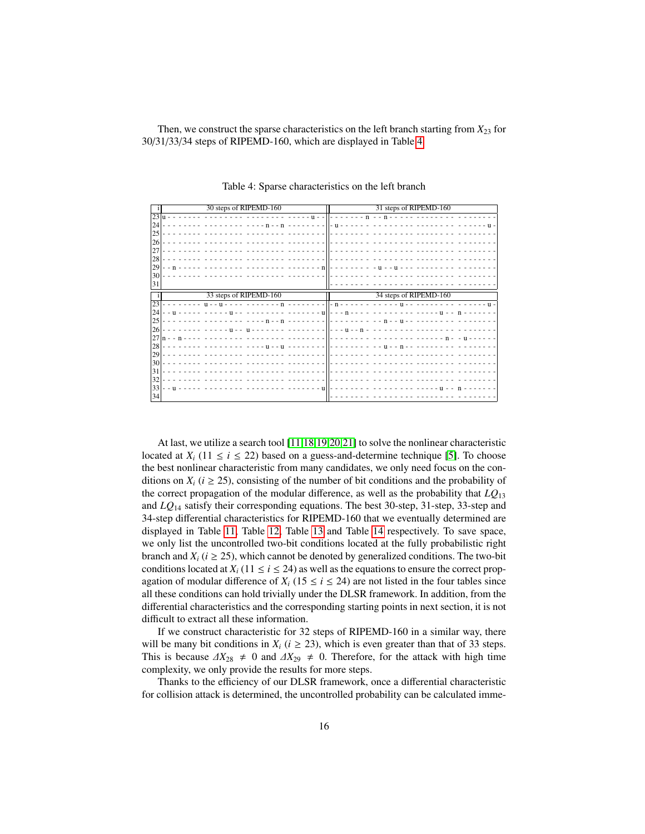Then, we construct the sparse characteristics on the left branch starting from  $X_{23}$  for 30/31/33/34 steps of RIPEMD-160, which are displayed in Table [4.](#page-15-0)

<span id="page-15-0"></span>

|                 | 30 steps of RIPEMD-160 | 31 steps of RIPEMD-160 |
|-----------------|------------------------|------------------------|
|                 |                        |                        |
|                 |                        |                        |
| 25 <sub>l</sub> |                        |                        |
|                 |                        |                        |
| 27              |                        |                        |
|                 |                        |                        |
|                 |                        |                        |
| 30              | .                      |                        |
| 31              |                        |                        |
|                 | 33 steps of RIPEMD-160 | 34 steps of RIPEMD-160 |
| 23              |                        |                        |
|                 |                        |                        |
|                 |                        |                        |
|                 |                        |                        |
|                 |                        |                        |
|                 |                        |                        |
|                 |                        |                        |
|                 |                        |                        |
| 31              |                        |                        |
|                 |                        |                        |
| 331             |                        |                        |
| 34              |                        |                        |

Table 4: Sparse characteristics on the left branch

At last, we utilize a search tool [\[11,](#page-25-1)[18,](#page-25-0)[19,](#page-25-4)[20](#page-25-5)[,21\]](#page-25-6) to solve the nonlinear characteristic located at  $X_i$  (11  $\le i \le 22$ ) based on a guess-and-determine technique [\[5\]](#page-24-4). To choose the best nonlinear characteristic from many candidates, we only need focus on the conditions on  $X_i$  ( $i \ge 25$ ), consisting of the number of bit conditions and the probability of the correct propagation of the modular difference, as well as the probability that *LQ*<sup>13</sup> and *LQ*<sup>14</sup> satisfy their corresponding equations. The best 30-step, 31-step, 33-step and 34-step differential characteristics for RIPEMD-160 that we eventually determined are displayed in Table [11,](#page-28-0) Table [12,](#page-29-0) Table [13](#page-30-0) and Table [14](#page-31-0) respectively. To save space, we only list the uncontrolled two-bit conditions located at the fully probabilistic right branch and  $X_i$  ( $i \geq 25$ ), which cannot be denoted by generalized conditions. The two-bit conditions located at  $X_i$  (11  $\le i \le 24$ ) as well as the equations to ensure the correct propagation of modular difference of  $X_i$  (15  $\le i \le 24$ ) are not listed in the four tables since all these conditions can hold trivially under the DLSR framework. In addition, from the differential characteristics and the corresponding starting points in next section, it is not difficult to extract all these information.

If we construct characteristic for 32 steps of RIPEMD-160 in a similar way, there will be many bit conditions in  $X_i$  ( $i \ge 23$ ), which is even greater than that of 33 steps. This is because  $\Delta X_{28} \neq 0$  and  $\Delta X_{29} \neq 0$ . Therefore, for the attack with high time complexity, we only provide the results for more steps.

Thanks to the efficiency of our DLSR framework, once a differential characteristic for collision attack is determined, the uncontrolled probability can be calculated imme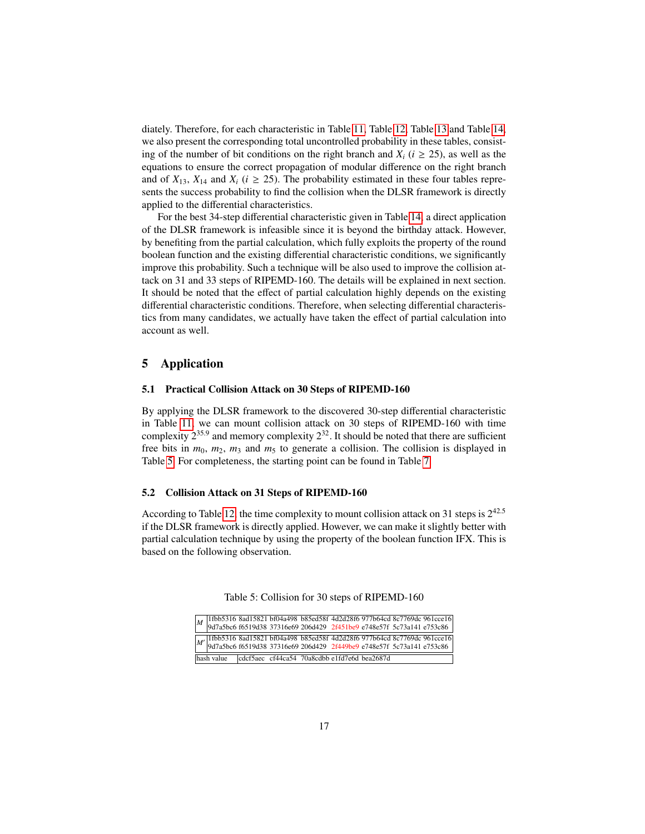diately. Therefore, for each characteristic in Table [11,](#page-28-0) Table [12,](#page-29-0) Table [13](#page-30-0) and Table [14,](#page-31-0) we also present the corresponding total uncontrolled probability in these tables, consisting of the number of bit conditions on the right branch and  $X_i$  ( $i \geq 25$ ), as well as the equations to ensure the correct propagation of modular difference on the right branch and of  $X_{13}$ ,  $X_{14}$  and  $X_i$  ( $i \geq 25$ ). The probability estimated in these four tables represents the success probability to find the collision when the DLSR framework is directly applied to the differential characteristics.

For the best 34-step differential characteristic given in Table [14,](#page-31-0) a direct application of the DLSR framework is infeasible since it is beyond the birthday attack. However, by benefiting from the partial calculation, which fully exploits the property of the round boolean function and the existing differential characteristic conditions, we significantly improve this probability. Such a technique will be also used to improve the collision attack on 31 and 33 steps of RIPEMD-160. The details will be explained in next section. It should be noted that the effect of partial calculation highly depends on the existing differential characteristic conditions. Therefore, when selecting differential characteristics from many candidates, we actually have taken the effect of partial calculation into account as well.

# <span id="page-16-0"></span>5 Application

### <span id="page-16-1"></span>5.1 Practical Collision Attack on 30 Steps of RIPEMD-160

By applying the DLSR framework to the discovered 30-step differential characteristic in Table [11,](#page-28-0) we can mount collision attack on 30 steps of RIPEMD-160 with time complexity  $2^{35.9}$  and memory complexity  $2^{32}$ . It should be noted that there are sufficient free bits in  $m_0$ ,  $m_2$ ,  $m_3$  and  $m_5$  to generate a collision. The collision is displayed in Table [5.](#page-16-3) For completeness, the starting point can be found in Table [7.](#page-17-0)

### <span id="page-16-2"></span>5.2 Collision Attack on 31 Steps of RIPEMD-160

According to Table [12,](#page-29-0) the time complexity to mount collision attack on 31 steps is  $2^{42.5}$ if the DLSR framework is directly applied. However, we can make it slightly better with partial calculation technique by using the property of the boolean function IFX. This is based on the following observation.

<span id="page-16-3"></span>

|              | 1fbb5316 8ad15821 bf04a498 b85ed58f 4d2d28f6 977b64cd 8c7769dc 961cce16<br>9d7a5bc6 f6519d38 37316e69 206d429 2f451be9 e748e57f 5c73a141 e753c86                                                    |  |  |  |
|--------------|-----------------------------------------------------------------------------------------------------------------------------------------------------------------------------------------------------|--|--|--|
|              |                                                                                                                                                                                                     |  |  |  |
|              | $\boxed{M' \begin{bmatrix} 1 \text{fbb53168a d15821 bf04a498 & b85ed58f 4d2d28f6 977b64cd 8c7769dc 961cce16 \\ 9d7a5bc6f6519d38 37316e69 206d429 2f449be9 e748e57f 5c73a141 e753c86 \end{bmatrix}}$ |  |  |  |
|              |                                                                                                                                                                                                     |  |  |  |
| lhash value. | Icdcf5aec cf44ca54 70a8cdbb e1fd7e6d bea2687d                                                                                                                                                       |  |  |  |

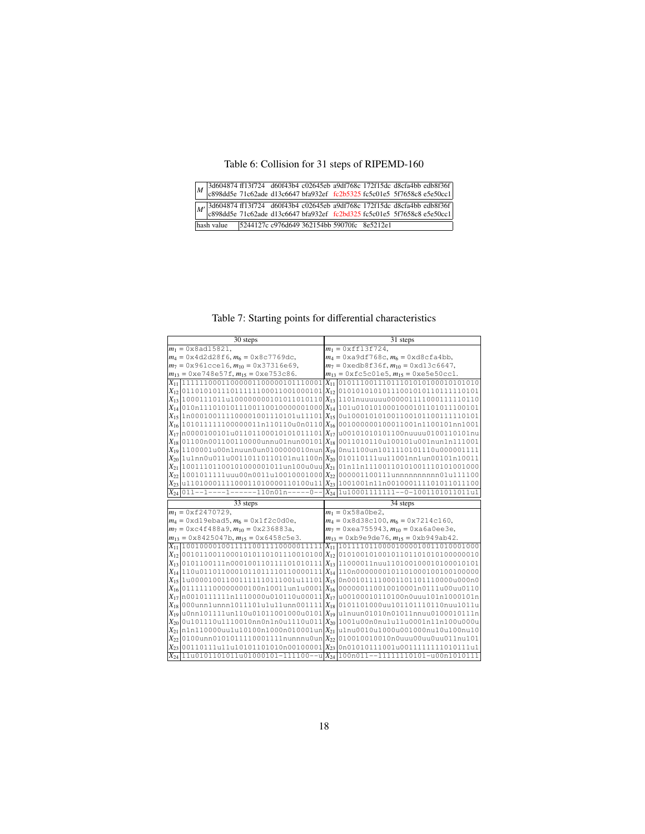# Table 6: Collision for 31 steps of RIPEMD-160

<span id="page-17-1"></span>

| $M'$ 3d604874 ff13f724 d60f43b4 c02645eb a9df768c 172f15dc d8cfa4bb edb8f36f<br>c898dd5e 71c62ade d13c6647 bfa932ef fc2bd325 fc5c01e5 5f7658c8 e5e50cc1 |                                             |  |  |  |
|---------------------------------------------------------------------------------------------------------------------------------------------------------|---------------------------------------------|--|--|--|
|                                                                                                                                                         |                                             |  |  |  |
| hash value                                                                                                                                              | 5244127c c976d649 362154bb 59070fc 8e5212e1 |  |  |  |

Table 7: Starting points for differential characteristics

<span id="page-17-0"></span>

| 30 steps                                                                                                                                                                           | 31 steps                                                                   |
|------------------------------------------------------------------------------------------------------------------------------------------------------------------------------------|----------------------------------------------------------------------------|
| $m_1 = 0 \times 8$ ad 15821,                                                                                                                                                       | $m_1 = 0 \times 1131724$ ,                                                 |
| $m_4 = 0 \times 4 d2 d28 f6$ , $m_6 = 0 \times 8 c7769 d c$ ,                                                                                                                      | $m_4 = 0xa9df768c, m_6 = 0xd8cfa4bb,$                                      |
| $m_7 = 0 \times 961$ cce16, $m_{10} = 0 \times 37316$ e69,                                                                                                                         | $m_7 = 0x \text{edb8f36f}, m_{10} = 0x \text{d13c6647},$                   |
| $m_{13} = 0xe748e57f, m_{15} = 0xe753c86.$                                                                                                                                         | $m_{13} = 0 \times 10001e5, m_{15} = 0 \times 10001.$                      |
| $X_{11}$  11111100011000001100000101110001                                                                                                                                         | $X_{11}$ 0101110011101110101010001010101010                                |
| $X_{12}$  011010101110111111100011001000101                                                                                                                                        | $ X_{12} $ 01010101010111001010110111110101                                |
| $X_{13}$  1000111011u100000000101011010110                                                                                                                                         | $ X_{13} $ 1101nuuuuuu000001111000111110110                                |
| $X_{14}$  010n1110101011100110010000001000                                                                                                                                         | $X_{14}$  101u0101010001000101101011100101                                 |
| $X_{15}$  ln000100111100001001110101u11101                                                                                                                                         | $ X_{15} 0u100010101001100101100111110101$                                 |
| $X_{16}$  101011111100000011n110110u0n0110                                                                                                                                         | $X_{16}$ 001000000100011001n1100101nn1001                                  |
| $X_{17}$  n0000100101u011011000101010111101                                                                                                                                        | $X_{17}$<br>u00101010101100nuuuu0100110101nu                               |
| 01100n001100110000unnu01nun00101<br>$X_{18}$                                                                                                                                       | $ X_{18} 0011010110u100101u001nun1n111001$                                 |
| $X_{19}$  1100001u00n1nuun0un0100000010nun                                                                                                                                         | $X_{19}$<br>0nu1100un1011110101110u000001111                               |
| $1$ u1nn0u011u00110110110101nu1100n $ X_{20} $<br>$X_{20}$                                                                                                                         | 010110111uu11001nn1un00101n10011                                           |
| $10011101100101000001011$ un100u0uu $X_{21}$<br>$X_{2,1}$                                                                                                                          | 01n11n11100110101001110101001000                                           |
| $X_{22}$  10010111111uuu00n0011u10010001000  $X_{22}$                                                                                                                              | 000001100111unnnnnnnnnn01u111100                                           |
| $X_{23}$  u11010001111100011010000110100u11 $ X_{23} $ 1001001n11n001000111101011011100                                                                                            |                                                                            |
| $X_{24}$   011 - - 1 - - - - 1 - - - - - - 110n01n - - - - - 0 - -                                                                                                                 | $X_{24}$  1u10001111111--0-1001101011011u1                                 |
|                                                                                                                                                                                    |                                                                            |
| 33 steps                                                                                                                                                                           | 34 steps                                                                   |
| $m_1 = 0 \times 12470729$ ,                                                                                                                                                        | $m_1 = 0x58a0be2$ ,                                                        |
| $m_4 = 0 \times 19$ ebad5, $m_6 = 0 \times 112$ c0d0e,                                                                                                                             | $m_4 = 0 \times 8$ d38c100, $m_6 = 0 \times 7214$ c160,                    |
| $m_7 = 0 \times 4$ f 488a9, $m_{10} = 0 \times 236883$ a,                                                                                                                          | $m_7 = 0xea755943, m_{10} = 0x a6a0ee3e,$                                  |
| $m_{13} = 0 \times 8425047$ b, $m_{15} = 0 \times 6458$ c5e3.                                                                                                                      | $m_{13} = 0 \times 9e9de76$ , $m_{15} = 0 \times 949ab42$ .                |
| $X_{11}$  10010000100111110011110000011111                                                                                                                                         | $X_{11}$  10111101100001000010011010001000                                 |
| $X_{12}$  00101100110001010110101110010100                                                                                                                                         | $X_{12}$ 010100101001011011010101000000010                                 |
| $X_{13}$  0101100111n0001001101111010101111                                                                                                                                        | $X_{13} 11000011$ nuu110100100010100010101                                 |
| $X_{14}$  110u0110110001011011110110000111                                                                                                                                         | $X_{14}$  110n00000001011010001001001000000                                |
| $X_{15}$  1u000010011001111110111001u11101                                                                                                                                         | $X_{15}$ 0n0010111110001101101110000u000n0                                 |
| $X_{16}$  011111100000000100n10011un1u0001                                                                                                                                         | $X_{16}$ 000000110010010001n0111u00uu0110                                  |
| $X_{17}$  n00101111111n1110000u010110u00011                                                                                                                                        | $X_{17}$  u00100010110100n0uuu101n1000101n                                 |
| $X_{18}$  000unn1unnn1011101u1u11unn001111                                                                                                                                         | $ X_{18} 0101101000$ uu101101110110nuu1011u                                |
| $X_{19}$  u0nn101111un110u01011001000u0101  $X_{19}$  u1nuun01010n01011nnuu0100010111n                                                                                             |                                                                            |
| $X_{20}$                                                                                                                                                                           | $0u101110u1110010nn0n1n0u1110u011 X_{20} 1001u00n0nu1u11u0001n11n100u000u$ |
| $X_{21}$                                                                                                                                                                           | $\frac{1}{111110000\text{u}11101000100000010001\text{u}1}}$                |
| $X_{22}$  0100unn01010111110001111nunnnu0un  $X_{22}$  010010010010n0uuu00uu0uu011nu101                                                                                            |                                                                            |
| $X_{23}$  00110111u11u10101101010n00100001  $X_{23}$  0n010101111001u0011111111010111u1<br>$X_{24}$  11u0101101011u01000101-111100--u  $X_{24}$  100n011--11111110101-u00n10101111 |                                                                            |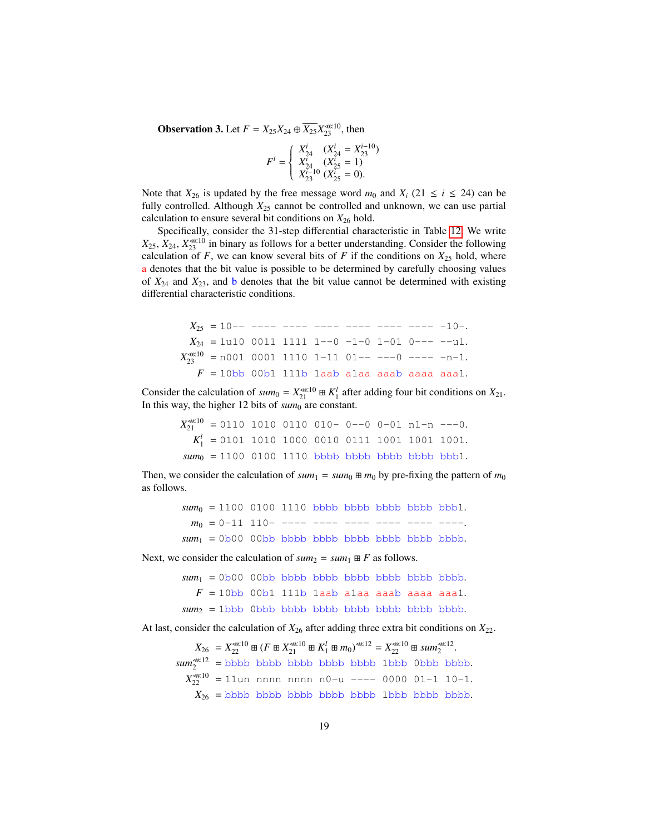**Observation 3.** Let  $F = X_{25}X_{24} \oplus \overline{X_{25}}X_{23}^{* \le 10}$ , then

$$
F^i = \begin{cases} X_{24}^i & (X_{24}^i = X_{23}^{i-10}) \\ X_{24}^i & (X_{25}^i = 1) \\ X_{23}^{i-10} & (X_{25}^i = 0). \end{cases}
$$

Note that  $X_{26}$  is updated by the free message word  $m_0$  and  $X_i$  (21  $\leq i \leq 24$ ) can be fully controlled. Although *X*<sup>25</sup> cannot be controlled and unknown, we can use partial calculation to ensure several bit conditions on  $X_{26}$  hold.

Specifically, consider the 31-step differential characteristic in Table [12.](#page-29-0) We write  $X_{25}$ ,  $X_{24}$ ,  $X_{23}^{\ll 10}$  in binary as follows for a better understanding. Consider the following calculation of  $F$ , we can know several bits of  $F$  if the conditions on  $X_{25}$  hold, where a denotes that the bit value is possible to be determined by carefully choosing values of  $X_{24}$  and  $X_{23}$ , and b denotes that the bit value cannot be determined with existing differential characteristic conditions.

> $X_{25}$  = 10-- ---- ---- ---- ---- ---- ---- -10-.  $X_{24}$  = 1u10 0011 1111 1--0 -1-0 1-01 0--- --u1.  $X_{23}^{\ll 10}$  = n001 0001 1110 1-11 01-- ---0 ---- -n-1.  $F = 10$ bb 00b1 111b 1aab alaa aaab aaaa aaal.

Consider the calculation of  $sum_0 = X_{21}^{*}(10) \oplus K_1^l$  after adding four bit conditions on  $X_{21}$ . In this way, the higher 12 bits of  $sum_0$  are constant.

> $X_{21}^{\ll 10}$  = 0110 1010 0110 010- 0--0 0-01 n1-n ---0. *K l* <sup>1</sup> <sup>=</sup> 0101 1010 1000 0010 0111 1001 1001 1001. *sum*<sup>0</sup> <sup>=</sup> 1100 0100 1110 bbbb bbbb bbbb bbbb bbb1.

Then, we consider the calculation of  $sum_1 = sum_0 \boxplus m_0$  by pre-fixing the pattern of  $m_0$ as follows.

> *sum*<sup>0</sup> <sup>=</sup> 1100 0100 1110 bbbb bbbb bbbb bbbb bbb1. *<sup>m</sup>*<sup>0</sup> <sup>=</sup> 0-11 110- ---- ---- ---- ---- ---- ----.  $sum_1 = 0b00000$ bbb bbbb bbbb bbbb bbbb bbbb.

Next, we consider the calculation of  $sum_2 = sum_1 \oplus F$  as follows.

 $sum_1 = 0b00$  00bb bbbb bbbb bbbb bbbb bbbb.  $F = 10$ bb 00b1 111b 1aab alaa aaab aaaa aaal.  $sum_2$  = 1bbb 0bbb bbbb bbbb bbbb bbbb bbbb.

At last, consider the calculation of  $X_{26}$  after adding three extra bit conditions on  $X_{22}$ .

 $X_{26} = X_{22}^{\infty 10} \boxplus (F \boxplus X_{21}^{\infty 10} \boxplus K_1^l \boxplus m_0)^{\infty 12} = X_{22}^{\infty 10} \boxplus sum_2^{\infty 12}$  $sum_{2}^{20}$  = bbbb bbbb bbbb bbbb bbbb 1bbb 0bbb bbbb.<br> $sum_{2}^{20}$  = bbbb bbbb bbbb bbbb bbbb 1bbb 0bbb bbbb.  $X_{22}^{\ll 10}$  = 11un nnnn nnnn n0-u ---- 0000 01-1 10-1.  $X_{26}$  = bbbb bbbb bbbb bbbb bbbb bbbb bbbb.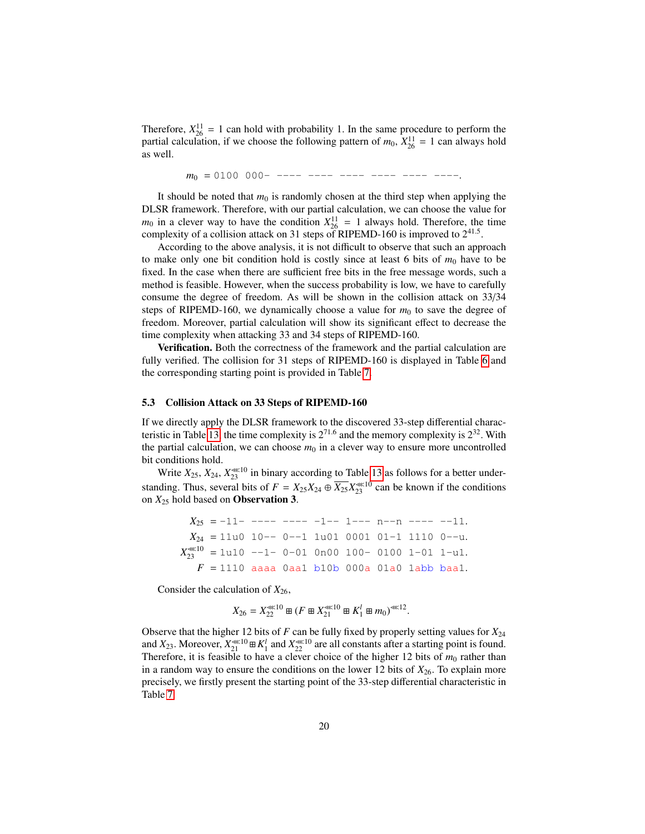Therefore,  $X_{26}^{11} = 1$  can hold with probability 1. In the same procedure to perform the partial calculation, if we choose the following pattern of  $m_0$ ,  $X_{26}^{11} = 1$  can always hold as well.

$$
m_0 = 0100000 - --- - --- - --- - --- - --- - --- --.
$$

It should be noted that  $m_0$  is randomly chosen at the third step when applying the DLSR framework. Therefore, with our partial calculation, we can choose the value for  $m_0$  in a clever way to have the condition  $X_{26}^{11} = 1$  always hold. Therefore, the time complexity of a collision attack on 31 steps of RIPEMD-160 is improved to  $2^{41.5}$ .

According to the above analysis, it is not difficult to observe that such an approach to make only one bit condition hold is costly since at least 6 bits of  $m_0$  have to be fixed. In the case when there are sufficient free bits in the free message words, such a method is feasible. However, when the success probability is low, we have to carefully consume the degree of freedom. As will be shown in the collision attack on 33/34 steps of RIPEMD-160, we dynamically choose a value for  $m_0$  to save the degree of freedom. Moreover, partial calculation will show its significant effect to decrease the time complexity when attacking 33 and 34 steps of RIPEMD-160.

Verification. Both the correctness of the framework and the partial calculation are fully verified. The collision for 31 steps of RIPEMD-160 is displayed in Table [6](#page-17-1) and the corresponding starting point is provided in Table [7.](#page-17-0)

#### <span id="page-19-0"></span>5.3 Collision Attack on 33 Steps of RIPEMD-160

If we directly apply the DLSR framework to the discovered 33-step differential charac-teristic in Table [13,](#page-30-0) the time complexity is  $2^{71.6}$  and the memory complexity is  $2^{32}$ . With the partial calculation, we can choose  $m_0$  in a clever way to ensure more uncontrolled bit conditions hold.

Write  $X_{25}$ ,  $X_{24}$ ,  $X_{23}^{\ll 10}$  in binary according to Table [13](#page-30-0) as follows for a better understanding. Thus, several bits of  $F = X_{25}X_{24} \oplus \overline{X_{25}}X_{23}^{\ll 10}$  can be known if the conditions on *X*<sup>25</sup> hold based on Observation 3.

$$
X_{25} = -11 - --- --- -1 - 1 --- n-n --- -11.
$$
  
\n
$$
X_{24} = 11u0 10 - 0 - 1 1u01 0001 01 - 1 1110 0 - u.
$$
  
\n
$$
X_{23}^{* \approx 10} = 1u10 - 1 - 0 - 01 0n00 100 - 0100 1 - 01 1 - u1.
$$
  
\n
$$
F = 1110 \text{ aaaa 0aa1 b10b 000a 01a0 1abb baa1}.
$$

Consider the calculation of  $X_{26}$ ,

$$
X_{26} = X_{22}^{\ll 10} \boxplus (F \boxplus X_{21}^{\ll 10} \boxplus K_1^l \boxplus m_0)^{\ll 12}.
$$

Observe that the higher 12 bits of  $F$  can be fully fixed by properly setting values for  $X_{24}$ and  $X_{23}$ . Moreover,  $X_{21}^{*10} \boxplus K_1^l$  and  $X_{22}^{*10}$  are all constants after a starting point is found. Therefore, it is feasible to have a clever choice of the higher 12 bits of  $m_0$  rather than in a random way to ensure the conditions on the lower 12 bits of  $X_{26}$ . To explain more precisely, we firstly present the starting point of the 33-step differential characteristic in Table [7.](#page-17-0)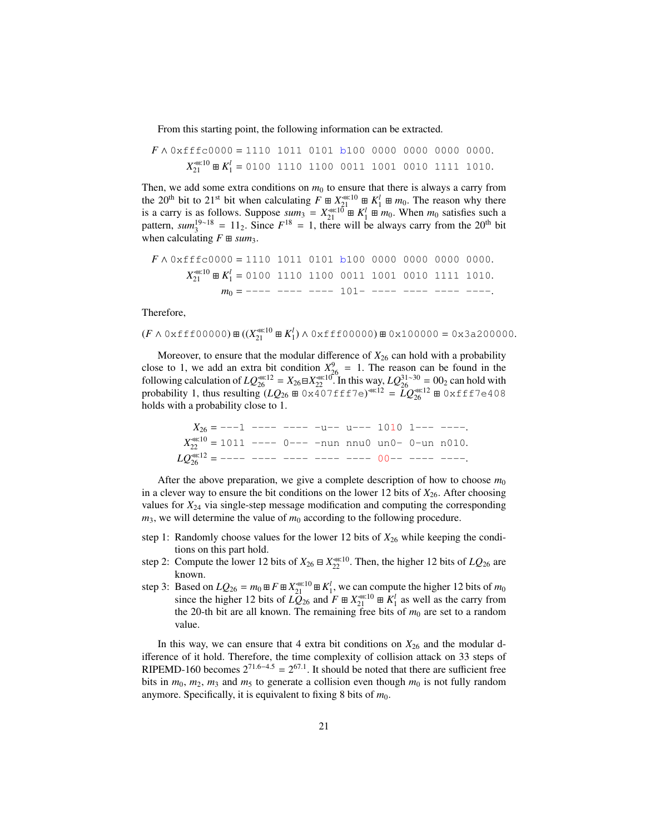From this starting point, the following information can be extracted.

$$
F \wedge 0 \times \text{ffc0000} = 1110 \ 1011 \ 0101 \ 0100 \ 0000 \ 0000 \ 0000 \ 0000.
$$
\n
$$
X_{21}^{\ll 10} \boxplus K_1^l = 0100 \ 1110 \ 1100 \ 0011 \ 1001 \ 0010 \ 1111 \ 1010.
$$

Then, we add some extra conditions on  $m_0$  to ensure that there is always a carry from the 20<sup>th</sup> bit to 21<sup>st</sup> bit when calculating  $F \nightharpoonup X_{21}^{\ll 10} \nightharpoonup K_1^l \nightharpoonup m_0$ . The reason why there is a carry is as follows. Suppose  $sum_3 = X_{21}^{*16} \oplus K_1^l \oplus m_0$ . When  $m_0$  satisfies such a pattern,  $sum_3^{19~18}$  = 11<sub>2</sub>. Since  $F^{18}$  = 1, there will be always carry from the 20<sup>th</sup> bit when calculating  $F \boxplus sum_3$ .

*<sup>F</sup>* <sup>∧</sup> 0xfffc0000 <sup>=</sup> 1110 1011 0101 b100 0000 0000 0000 0000. *X*≪<sup>10</sup> <sup>21</sup> *<sup>K</sup> l* <sup>1</sup> <sup>=</sup> 0100 1110 1100 0011 1001 0010 1111 1010. *<sup>m</sup>*<sup>0</sup> <sup>=</sup> ---- ---- ---- 101- ---- ---- ---- ----.

Therefore,

 $(F \wedge 0 \times f f f 000000) \boxplus ((X_{21}^{* \le 10} \boxplus K_1^l) \wedge 0 \times f f f 00000) \boxplus 0 \times 100000 = 0 \times 3 a200000.$ 

Moreover, to ensure that the modular difference of  $X_{26}$  can hold with a probability close to 1, we add an extra bit condition  $X_{26}^9 = 1$ . The reason can be found in the following calculation of  $LQ_{26}^{(0)} = X_{26} \text{ and } X_{22}^{(0)} = \text{ and } X_{26} = 0.26 \text{ and } X_{26} = 0.02 \text{ can hold with}$ probability 1, thus resulting  $(LQ_{26} \oplus 0 \times 407$  fff7e)<sup>«(12</sup> =  $LQ_{26}^{(8)}$  = 0xfff7e408) holds with a probability close to 1.

| $X_{26} = ---1$ ---- ---- -u-- u--- 1010 1--- ----            |  |  |  |  |
|---------------------------------------------------------------|--|--|--|--|
| $X_{22}^{\ll 10}$ = 1011 ---- 0--- -nun nnu0 un0- 0-un n010.  |  |  |  |  |
| $LQ_{26}^{\ll 12}$ = ---- ---- ---- ---- ---- 00-- ---- ----. |  |  |  |  |
|                                                               |  |  |  |  |

After the above preparation, we give a complete description of how to choose  $m_0$ in a clever way to ensure the bit conditions on the lower 12 bits of  $X_{26}$ . After choosing values for *X*<sup>24</sup> via single-step message modification and computing the corresponding  $m_3$ , we will determine the value of  $m_0$  according to the following procedure.

- step 1: Randomly choose values for the lower 12 bits of  $X_{26}$  while keeping the conditions on this part hold.
- step 2: Compute the lower 12 bits of  $X_{26} \boxminus X_{22}^{\text{m}}$ . Then, the higher 12 bits of  $LQ_{26}$  are known.
- step 3: Based on  $LQ_{26} = m_0 \boxplus F \boxplus X_{21}^{\ll 10} \boxplus K_1^l$ , we can compute the higher 12 bits of  $m_0$ since the higher 12 bits of  $L_{Q_{26}}^{Z_1}$  and  $F \oplus X_{21}^{\ll 10} \oplus K_1^l$  as well as the carry from the 20-th bit are all known. The remaining free bits of  $m_0$  are set to a random value.

In this way, we can ensure that  $4$  extra bit conditions on  $X_{26}$  and the modular difference of it hold. Therefore, the time complexity of collision attack on 33 steps of RIPEMD-160 becomes  $2^{71.6-4.5} = 2^{67.1}$ . It should be noted that there are sufficient free bits in  $m_0$ ,  $m_2$ ,  $m_3$  and  $m_5$  to generate a collision even though  $m_0$  is not fully random anymore. Specifically, it is equivalent to fixing 8 bits of  $m_0$ .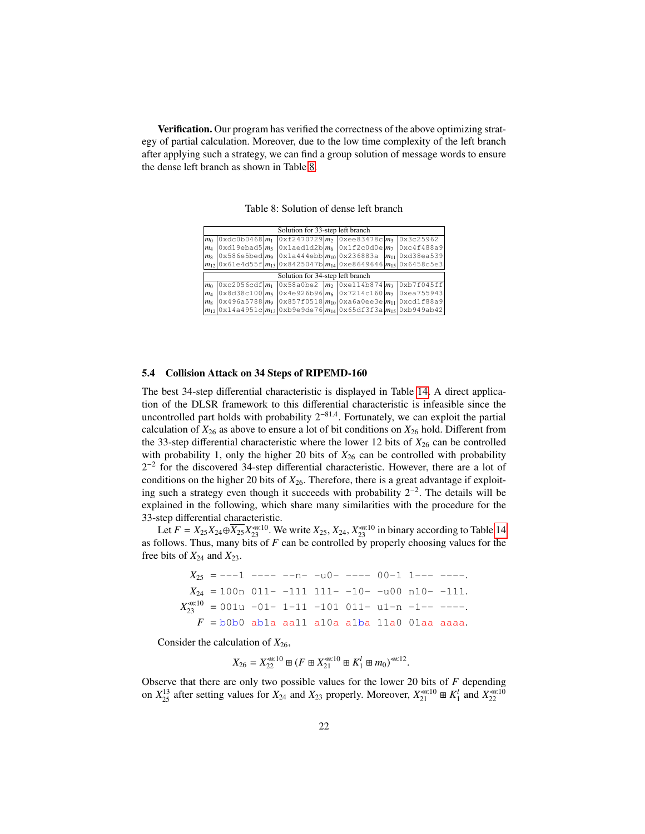<span id="page-21-1"></span>Verification. Our program has verified the correctness of the above optimizing strategy of partial calculation. Moreover, due to the low time complexity of the left branch after applying such a strategy, we can find a group solution of message words to ensure the dense left branch as shown in Table [8.](#page-21-1)

Table 8: Solution of dense left branch

|                | Solution for 33-step left branch |  |                                  |  |                                                                                             |  |  |  |  |
|----------------|----------------------------------|--|----------------------------------|--|---------------------------------------------------------------------------------------------|--|--|--|--|
| $m_0$          |                                  |  |                                  |  | $0xdc0b0468 m_1 0xf2470729 m_2 0xee83478c m_3 0x3c25962$                                    |  |  |  |  |
| $m_4$          | $0xd19ebad5$ $m5$                |  |                                  |  | $\alpha$ laed1d2b $m_6$ $\alpha$ 1f2c0d0e $m_7$ $\alpha$ c4f488a9                           |  |  |  |  |
| m <sub>8</sub> |                                  |  |                                  |  | $\frac{10x586e5bed}{m_9}$ 0x1a444ebb $\frac{m_{10}}{2236883a}$ $\frac{m_{11}}{20x438ea539}$ |  |  |  |  |
|                |                                  |  |                                  |  | $ m_{12} 0x61e4d55f m_{13} 0x8425047b m_{14} 0xe8649646 m_{15} 0x6458c5e3$                  |  |  |  |  |
|                |                                  |  |                                  |  |                                                                                             |  |  |  |  |
|                |                                  |  | Solution for 34-step left branch |  |                                                                                             |  |  |  |  |
| mo             |                                  |  |                                  |  | $ 0 \times c2056cdf/m_1 0 \times 58a0be2  m_2 0 \times e114b874  m_3 0 \times b7f045ff$     |  |  |  |  |
| $m_4$          |                                  |  |                                  |  | $\frac{10x8d38c100 m_5 0x4e926b96 m_6 0x7214c160 m_7 0xea755943}{}$                         |  |  |  |  |
| m <sub>8</sub> |                                  |  |                                  |  | $0x496a5788$ $m_9$ $0x857f0518$ $m_{10}$ $0xa6a0ee3e$ $m_{11}$ $0xcd1f88a9$                 |  |  |  |  |

### <span id="page-21-0"></span>5.4 Collision Attack on 34 Steps of RIPEMD-160

The best 34-step differential characteristic is displayed in Table [14.](#page-31-0) A direct application of the DLSR framework to this differential characteristic is infeasible since the uncontrolled part holds with probability  $2^{-81.4}$ . Fortunately, we can exploit the partial calculation of  $X_{26}$  as above to ensure a lot of bit conditions on  $X_{26}$  hold. Different from the 33-step differential characteristic where the lower 12 bits of  $X_{26}$  can be controlled with probability 1, only the higher 20 bits of  $X_{26}$  can be controlled with probability  $2^{-2}$  for the discovered 34-step differential characteristic. However, there are a lot of conditions on the higher 20 bits of  $X_{26}$ . Therefore, there is a great advantage if exploiting such a strategy even though it succeeds with probability 2<sup>−</sup><sup>2</sup> . The details will be explained in the following, which share many similarities with the procedure for the 33-step differential characteristic.

Let  $F = X_{25}X_{24} \oplus \overline{X_{25}}X_{23}^{*0}$ . We write  $X_{25}$ ,  $X_{24}$ ,  $X_{23}^{*0}$  in binary according to Table [14](#page-31-0) as follows. Thus, many bits of  $F$  can be controlled by properly choosing values for the free bits of  $X_{24}$  and  $X_{23}$ .

> $X_{25}$  = ---1 ---- --n- -u0- ---- 00-1 1--- ---- $X_{24}$  = 100n 011- -111 111- -10- -u00 n10- -111.  $X_{23}^{\ll 10} = 001u -01-1-11-101$  011- u1-n -1-- ----.  $F = b0b0$  abla aall al $0a$  alba 11a0 01aa aaaa.

Consider the calculation of  $X_{26}$ ,

$$
X_{26} = X_{22}^{\ll 10} \boxplus (F \boxplus X_{21}^{\ll 10} \boxplus K_1^l \boxplus m_0)^{\ll 12}
$$

Observe that there are only two possible values for the lower 20 bits of *F* depending on  $X_{25}^{13}$  after setting values for  $X_{24}$  and  $X_{23}$  properly. Moreover,  $X_{21}^{\ll 10} \boxplus K_1^l$  and  $X_{22}^{\ll 10}$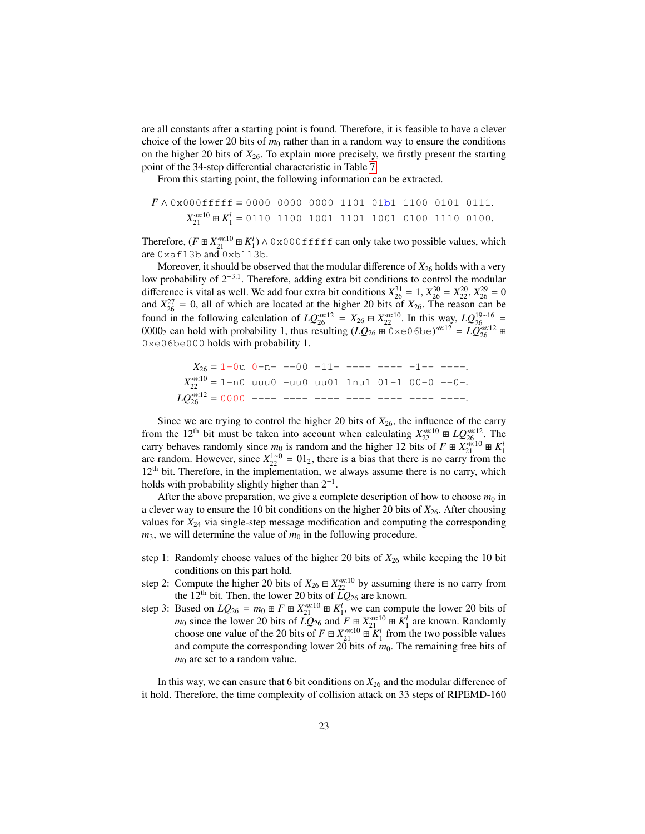are all constants after a starting point is found. Therefore, it is feasible to have a clever choice of the lower 20 bits of  $m_0$  rather than in a random way to ensure the conditions on the higher 20 bits of *X*26. To explain more precisely, we firstly present the starting point of the 34-step differential characteristic in Table [7.](#page-17-0)

From this starting point, the following information can be extracted.

$$
F \wedge 0 \times 000 \text{eff} \text{eff} = 0000 \quad 0000 \quad 0000 \quad 1101 \quad 01b1 \quad 1100 \quad 0101 \quad 0111.
$$
\n
$$
X_{21}^{\ll 10} \boxplus K_1^l = 0110 \quad 1100 \quad 1001 \quad 1101 \quad 1001 \quad 0100 \quad 1110 \quad 0100.
$$

Therefore,  $(F \boxplus X_{21}^{\ll 10} \boxplus K_1^l) \wedge 0 \times 000$  f f f f can only take two possible values, which are 0xaf13b and 0xb113b.

Moreover, it should be observed that the modular difference of  $X_{26}$  holds with a very low probability of 2<sup>-3.1</sup>. Therefore, adding extra bit conditions to control the modular difference is vital as well. We add four extra bit conditions  $X_{26}^{31} = 1$ ,  $X_{26}^{30} = X_{22}^{20}$ ,  $X_{26}^{29} = 0$ and  $X_{26}^{27} = 0$ , all of which are located at the higher 20 bits of  $X_{26}$ . The reason can be found in the following calculation of  $LQ_{26}^{\ll 12} = X_{26} \boxminus X_{22}^{\ll 10}$ . In this way,  $LQ_{26}^{19\sim 16} =$ 0000<sub>2</sub> can hold with probability 1, thus resulting  $(LQ_{26} \boxplus 0 \times 0 \times 0 \times 12) = LQ_{26}^{\infty} \boxplus 2$ 0xe06be000 holds with probability 1.

*<sup>X</sup>*<sup>26</sup> <sup>=</sup> 1-0u 0-n- --00 -11- ---- ---- -1-- ----. *X*<sup>≪</sup><sup>10</sup> <sup>22</sup> <sup>=</sup> 1-n0 uuu0 -uu0 uu01 1nu1 01-1 00-0 --0-. *LQ*<sup>≪</sup><sup>12</sup> <sup>26</sup> <sup>=</sup> <sup>0000</sup> ---- ---- ---- ---- ---- ---- ----.

Since we are trying to control the higher 20 bits of  $X_{26}$ , the influence of the carry from the 12<sup>th</sup> bit must be taken into account when calculating  $X_{22}^{\ll 10} \boxplus LQ_{26}^{\ll 12}$ . The carry behaves randomly since  $m_0$  is random and the higher 12 bits of  $F \boxplus X_{21}^{\infty} \oplus K_1^1$  are random. However, since  $X_{22}^{1 \sim 0} = 01_2$ , there is a bias that there is no carry from the 12<sup>th</sup> bit. Therefore, in the implementation, we always assume there is no carry, which holds with probability slightly higher than  $2^{-1}$ .

After the above preparation, we give a complete description of how to choose  $m_0$  in a clever way to ensure the 10 bit conditions on the higher 20 bits of  $X_{26}$ . After choosing values for  $X_{24}$  via single-step message modification and computing the corresponding  $m_3$ , we will determine the value of  $m_0$  in the following procedure.

- step 1: Randomly choose values of the higher 20 bits of  $X_{26}$  while keeping the 10 bit conditions on this part hold.
- step 2: Compute the higher 20 bits of  $X_{26} \boxminus X_{22}^{\text{def}}$  by assuming there is no carry from the 12<sup>th</sup> bit. Then, the lower 20 bits of  $LQ_{26}$  are known.
- step 3: Based on  $LQ_{26} = m_0 \oplus F \oplus X_{21}^{(k)} \oplus K_1^l$ , we can compute the lower 20 bits of *m*<sub>0</sub> since the lower 20 bits of  $\angle LQ_{26}$  and  $F \nightharpoonup X_{21}^{\ll 10} \nightharpoonup K_1^l$  are known. Randomly choose one value of the 20 bits of  $F \ncong X_{21}^{\ll 10} \ncong K_1^l$  from the two possible values and compute the corresponding lower 20 bits of  $m_0$ . The remaining free bits of  $m_0$  are set to a random value.

In this way, we can ensure that 6 bit conditions on  $X_{26}$  and the modular difference of it hold. Therefore, the time complexity of collision attack on 33 steps of RIPEMD-160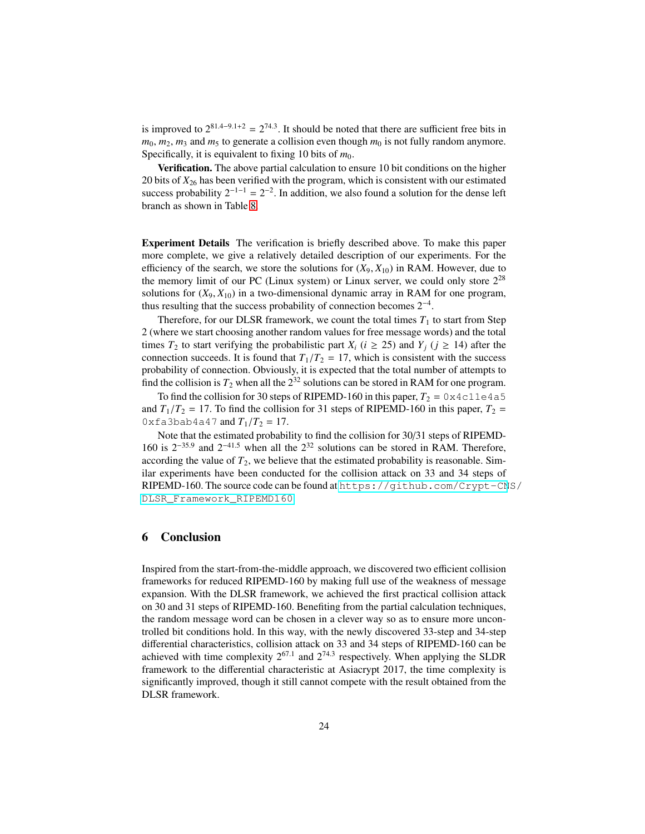is improved to  $2^{81.4-9.1+2} = 2^{74.3}$ . It should be noted that there are sufficient free bits in  $m_0$ ,  $m_2$ ,  $m_3$  and  $m_5$  to generate a collision even though  $m_0$  is not fully random anymore. Specifically, it is equivalent to fixing 10 bits of  $m_0$ .

Verification. The above partial calculation to ensure 10 bit conditions on the higher 20 bits of *X*<sup>26</sup> has been verified with the program, which is consistent with our estimated success probability  $2^{-1-1} = 2^{-2}$ . In addition, we also found a solution for the dense left branch as shown in Table [8.](#page-21-1)

Experiment Details The verification is briefly described above. To make this paper more complete, we give a relatively detailed description of our experiments. For the efficiency of the search, we store the solutions for  $(X_9, X_{10})$  in RAM. However, due to the memory limit of our PC (Linux system) or Linux server, we could only store  $2^{28}$ solutions for  $(X_9, X_{10})$  in a two-dimensional dynamic array in RAM for one program, thus resulting that the success probability of connection becomes  $2^{-4}$ .

Therefore, for our DLSR framework, we count the total times  $T_1$  to start from Step 2 (where we start choosing another random values for free message words) and the total times  $T_2$  to start verifying the probabilistic part  $X_i$  ( $i \geq 25$ ) and  $Y_j$  ( $j \geq 14$ ) after the connection succeeds. It is found that  $T_1/T_2 = 17$ , which is consistent with the success probability of connection. Obviously, it is expected that the total number of attempts to find the collision is  $T_2$  when all the  $2^{32}$  solutions can be stored in RAM for one program.

To find the collision for 30 steps of RIPEMD-160 in this paper,  $T_2 = 0 \times 4c11e4a5$ and  $T_1/T_2 = 17$ . To find the collision for 31 steps of RIPEMD-160 in this paper,  $T_2 =$ 0xfa3bab4a47 and  $T_1/T_2 = 17$ .

Note that the estimated probability to find the collision for 30/31 steps of RIPEMD-160 is  $2^{-35.9}$  and  $2^{-41.5}$  when all the  $2^{32}$  solutions can be stored in RAM. Therefore, according the value of  $T_2$ , we believe that the estimated probability is reasonable. Similar experiments have been conducted for the collision attack on 33 and 34 steps of RIPEMD-160. The source code can be found at [https://github.com/Crypt-CN](https://github.com/Crypt-CNS/DLSR_Framework_RIPEMD160)S/ [DLSR\\_Framework\\_RIPEMD160](https://github.com/Crypt-CNS/DLSR_Framework_RIPEMD160).

## <span id="page-23-0"></span>6 Conclusion

Inspired from the start-from-the-middle approach, we discovered two efficient collision frameworks for reduced RIPEMD-160 by making full use of the weakness of message expansion. With the DLSR framework, we achieved the first practical collision attack on 30 and 31 steps of RIPEMD-160. Benefiting from the partial calculation techniques, the random message word can be chosen in a clever way so as to ensure more uncontrolled bit conditions hold. In this way, with the newly discovered 33-step and 34-step differential characteristics, collision attack on 33 and 34 steps of RIPEMD-160 can be achieved with time complexity  $2^{67.1}$  and  $2^{74.3}$  respectively. When applying the SLDR framework to the differential characteristic at Asiacrypt 2017, the time complexity is significantly improved, though it still cannot compete with the result obtained from the DLSR framework.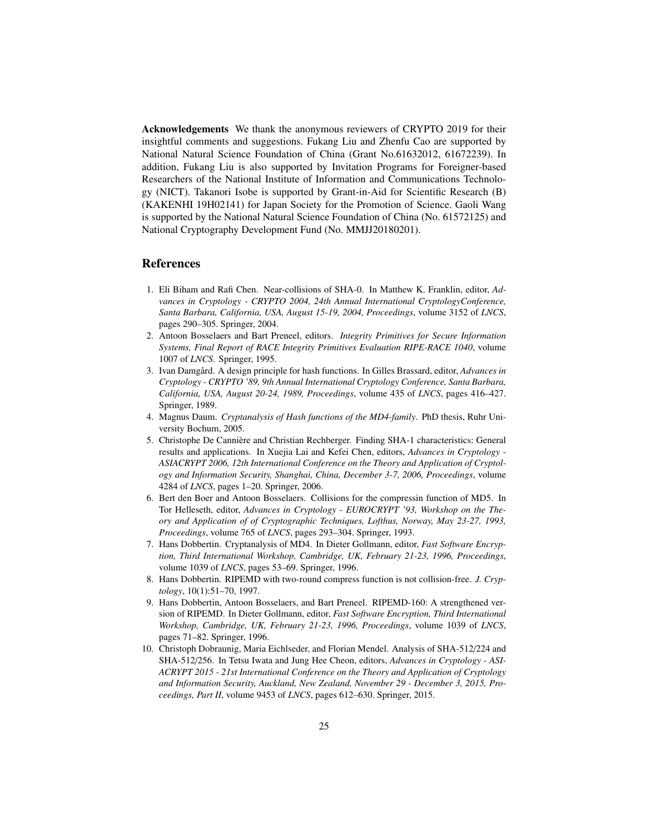Acknowledgements We thank the anonymous reviewers of CRYPTO 2019 for their insightful comments and suggestions. Fukang Liu and Zhenfu Cao are supported by National Natural Science Foundation of China (Grant No.61632012, 61672239). In addition, Fukang Liu is also supported by Invitation Programs for Foreigner-based Researchers of the National Institute of Information and Communications Technology (NICT). Takanori Isobe is supported by Grant-in-Aid for Scientific Research (B) (KAKENHI 19H02141) for Japan Society for the Promotion of Science. Gaoli Wang is supported by the National Natural Science Foundation of China (No. 61572125) and National Cryptography Development Fund (No. MMJJ20180201).

### References

- <span id="page-24-3"></span>1. Eli Biham and Rafi Chen. Near-collisions of SHA-0. In Matthew K. Franklin, editor, *Advances in Cryptology - CRYPTO 2004, 24th Annual International CryptologyConference, Santa Barbara, California, USA, August 15-19, 2004, Proceedings*, volume 3152 of *LNCS*, pages 290–305. Springer, 2004.
- <span id="page-24-6"></span>2. Antoon Bosselaers and Bart Preneel, editors. *Integrity Primitives for Secure Information Systems, Final Report of RACE Integrity Primitives Evaluation RIPE-RACE 1040*, volume 1007 of *LNCS*. Springer, 1995.
- <span id="page-24-0"></span>3. Ivan Damgård. A design principle for hash functions. In Gilles Brassard, editor, *Advances in Cryptology - CRYPTO '89, 9th Annual International Cryptology Conference, Santa Barbara, California, USA, August 20-24, 1989, Proceedings*, volume 435 of *LNCS*, pages 416–427. Springer, 1989.
- <span id="page-24-9"></span>4. Magnus Daum. *Cryptanalysis of Hash functions of the MD4-family*. PhD thesis, Ruhr University Bochum, 2005.
- <span id="page-24-4"></span>5. Christophe De Canniere and Christian Rechberger. Finding SHA-1 characteristics: General ` results and applications. In Xuejia Lai and Kefei Chen, editors, *Advances in Cryptology - ASIACRYPT 2006, 12th International Conference on the Theory and Application of Cryptology and Information Security, Shanghai, China, December 3-7, 2006, Proceedings*, volume 4284 of *LNCS*, pages 1–20. Springer, 2006.
- <span id="page-24-1"></span>6. Bert den Boer and Antoon Bosselaers. Collisions for the compressin function of MD5. In Tor Helleseth, editor, *Advances in Cryptology - EUROCRYPT '93, Workshop on the Theory and Application of of Cryptographic Techniques, Lofthus, Norway, May 23-27, 1993, Proceedings*, volume 765 of *LNCS*, pages 293–304. Springer, 1993.
- <span id="page-24-2"></span>7. Hans Dobbertin. Cryptanalysis of MD4. In Dieter Gollmann, editor, *Fast Software Encryption, Third International Workshop, Cambridge, UK, February 21-23, 1996, Proceedings*, volume 1039 of *LNCS*, pages 53–69. Springer, 1996.
- <span id="page-24-7"></span>8. Hans Dobbertin. RIPEMD with two-round compress function is not collision-free. *J. Cryptology*, 10(1):51–70, 1997.
- <span id="page-24-8"></span>9. Hans Dobbertin, Antoon Bosselaers, and Bart Preneel. RIPEMD-160: A strengthened version of RIPEMD. In Dieter Gollmann, editor, *Fast Software Encryption, Third International Workshop, Cambridge, UK, February 21-23, 1996, Proceedings*, volume 1039 of *LNCS*, pages 71–82. Springer, 1996.
- <span id="page-24-5"></span>10. Christoph Dobraunig, Maria Eichlseder, and Florian Mendel. Analysis of SHA-512/224 and SHA-512/256. In Tetsu Iwata and Jung Hee Cheon, editors, *Advances in Cryptology - ASI-ACRYPT 2015 - 21st International Conference on the Theory and Application of Cryptology and Information Security, Auckland, New Zealand, November 29 - December 3, 2015, Proceedings, Part II*, volume 9453 of *LNCS*, pages 612–630. Springer, 2015.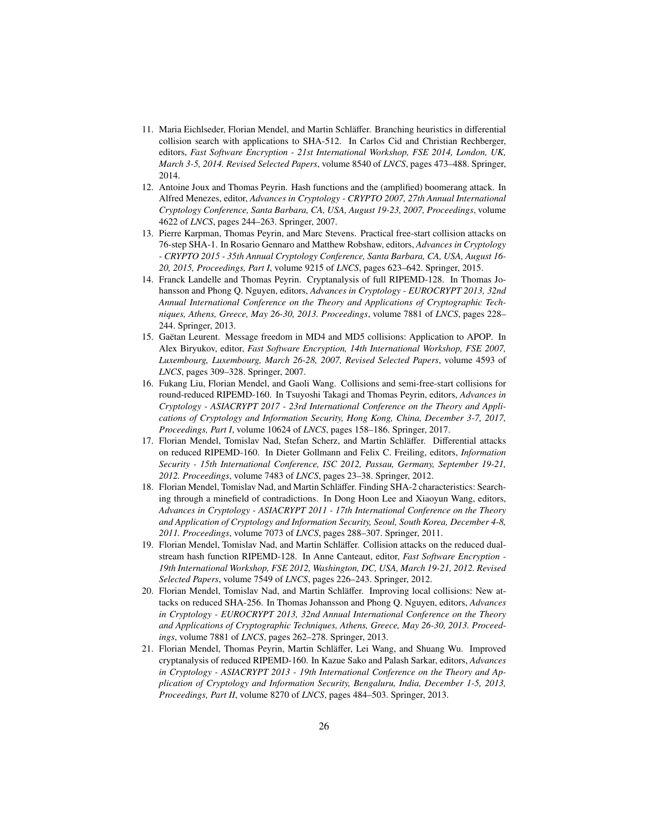- <span id="page-25-1"></span>11. Maria Eichlseder, Florian Mendel, and Martin Schla¨ffer. Branching heuristics in differential collision search with applications to SHA-512. In Carlos Cid and Christian Rechberger, editors, *Fast Software Encryption - 21st International Workshop, FSE 2014, London, UK, March 3-5, 2014. Revised Selected Papers*, volume 8540 of *LNCS*, pages 473–488. Springer, 2014.
- <span id="page-25-8"></span>12. Antoine Joux and Thomas Peyrin. Hash functions and the (amplified) boomerang attack. In Alfred Menezes, editor, *Advances in Cryptology - CRYPTO 2007, 27th Annual International Cryptology Conference, Santa Barbara, CA, USA, August 19-23, 2007, Proceedings*, volume 4622 of *LNCS*, pages 244–263. Springer, 2007.
- <span id="page-25-7"></span>13. Pierre Karpman, Thomas Peyrin, and Marc Stevens. Practical free-start collision attacks on 76-step SHA-1. In Rosario Gennaro and Matthew Robshaw, editors, *Advances in Cryptology - CRYPTO 2015 - 35th Annual Cryptology Conference, Santa Barbara, CA, USA, August 16- 20, 2015, Proceedings, Part I*, volume 9215 of *LNCS*, pages 623–642. Springer, 2015.
- <span id="page-25-9"></span>14. Franck Landelle and Thomas Peyrin. Cryptanalysis of full RIPEMD-128. In Thomas Johansson and Phong Q. Nguyen, editors, *Advances in Cryptology - EUROCRYPT 2013, 32nd Annual International Conference on the Theory and Applications of Cryptographic Techniques, Athens, Greece, May 26-30, 2013. Proceedings*, volume 7881 of *LNCS*, pages 228– 244. Springer, 2013.
- <span id="page-25-10"></span>15. Gaëtan Leurent. Message freedom in MD4 and MD5 collisions: Application to APOP. In Alex Biryukov, editor, *Fast Software Encryption, 14th International Workshop, FSE 2007, Luxembourg, Luxembourg, March 26-28, 2007, Revised Selected Papers*, volume 4593 of *LNCS*, pages 309–328. Springer, 2007.
- <span id="page-25-2"></span>16. Fukang Liu, Florian Mendel, and Gaoli Wang. Collisions and semi-free-start collisions for round-reduced RIPEMD-160. In Tsuyoshi Takagi and Thomas Peyrin, editors, *Advances in Cryptology - ASIACRYPT 2017 - 23rd International Conference on the Theory and Applications of Cryptology and Information Security, Hong Kong, China, December 3-7, 2017, Proceedings, Part I*, volume 10624 of *LNCS*, pages 158–186. Springer, 2017.
- <span id="page-25-3"></span>17. Florian Mendel, Tomislav Nad, Stefan Scherz, and Martin Schläffer. Differential attacks on reduced RIPEMD-160. In Dieter Gollmann and Felix C. Freiling, editors, *Information Security - 15th International Conference, ISC 2012, Passau, Germany, September 19-21, 2012. Proceedings*, volume 7483 of *LNCS*, pages 23–38. Springer, 2012.
- <span id="page-25-0"></span>18. Florian Mendel, Tomislav Nad, and Martin Schläffer. Finding SHA-2 characteristics: Searching through a minefield of contradictions. In Dong Hoon Lee and Xiaoyun Wang, editors, *Advances in Cryptology - ASIACRYPT 2011 - 17th International Conference on the Theory and Application of Cryptology and Information Security, Seoul, South Korea, December 4-8, 2011. Proceedings*, volume 7073 of *LNCS*, pages 288–307. Springer, 2011.
- <span id="page-25-4"></span>19. Florian Mendel, Tomislav Nad, and Martin Schläffer. Collision attacks on the reduced dualstream hash function RIPEMD-128. In Anne Canteaut, editor, *Fast Software Encryption - 19th International Workshop, FSE 2012, Washington, DC, USA, March 19-21, 2012. Revised Selected Papers*, volume 7549 of *LNCS*, pages 226–243. Springer, 2012.
- <span id="page-25-5"></span>20. Florian Mendel, Tomislav Nad, and Martin Schläffer. Improving local collisions: New attacks on reduced SHA-256. In Thomas Johansson and Phong Q. Nguyen, editors, *Advances in Cryptology - EUROCRYPT 2013, 32nd Annual International Conference on the Theory and Applications of Cryptographic Techniques, Athens, Greece, May 26-30, 2013. Proceedings*, volume 7881 of *LNCS*, pages 262–278. Springer, 2013.
- <span id="page-25-6"></span>21. Florian Mendel, Thomas Peyrin, Martin Schläffer, Lei Wang, and Shuang Wu. Improved cryptanalysis of reduced RIPEMD-160. In Kazue Sako and Palash Sarkar, editors, *Advances in Cryptology - ASIACRYPT 2013 - 19th International Conference on the Theory and Application of Cryptology and Information Security, Bengaluru, India, December 1-5, 2013, Proceedings, Part II*, volume 8270 of *LNCS*, pages 484–503. Springer, 2013.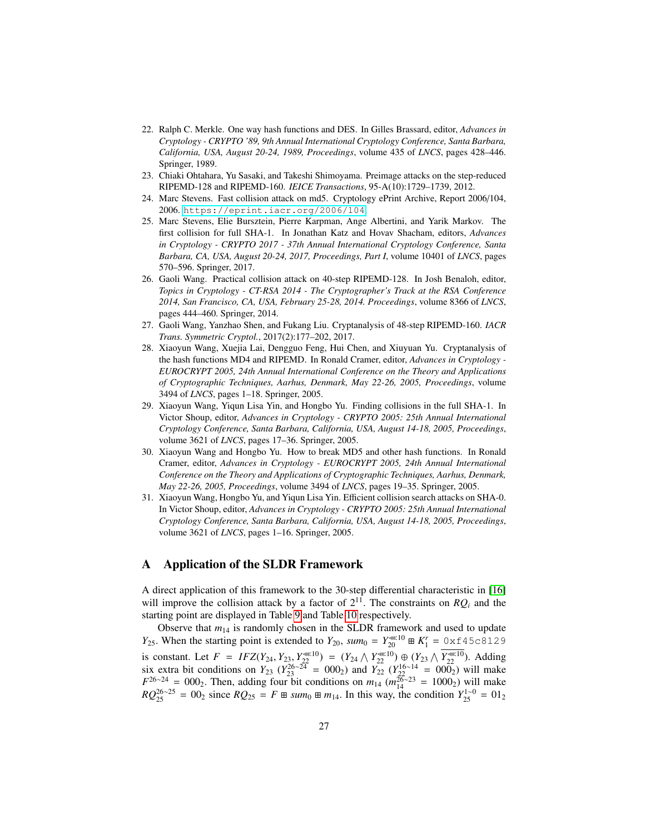- <span id="page-26-0"></span>22. Ralph C. Merkle. One way hash functions and DES. In Gilles Brassard, editor, *Advances in Cryptology - CRYPTO '89, 9th Annual International Cryptology Conference, Santa Barbara, California, USA, August 20-24, 1989, Proceedings*, volume 435 of *LNCS*, pages 428–446. Springer, 1989.
- <span id="page-26-9"></span>23. Chiaki Ohtahara, Yu Sasaki, and Takeshi Shimoyama. Preimage attacks on the step-reduced RIPEMD-128 and RIPEMD-160. *IEICE Transactions*, 95-A(10):1729–1739, 2012.
- <span id="page-26-5"></span>24. Marc Stevens. Fast collision attack on md5. Cryptology ePrint Archive, Report 2006/104, 2006. <https://eprint.iacr.org/2006/104>.
- <span id="page-26-6"></span>25. Marc Stevens, Elie Bursztein, Pierre Karpman, Ange Albertini, and Yarik Markov. The first collision for full SHA-1. In Jonathan Katz and Hovav Shacham, editors, *Advances in Cryptology - CRYPTO 2017 - 37th Annual International Cryptology Conference, Santa Barbara, CA, USA, August 20-24, 2017, Proceedings, Part I*, volume 10401 of *LNCS*, pages 570–596. Springer, 2017.
- <span id="page-26-7"></span>26. Gaoli Wang. Practical collision attack on 40-step RIPEMD-128. In Josh Benaloh, editor, *Topics in Cryptology - CT-RSA 2014 - The Cryptographer's Track at the RSA Conference 2014, San Francisco, CA, USA, February 25-28, 2014. Proceedings*, volume 8366 of *LNCS*, pages 444–460. Springer, 2014.
- <span id="page-26-8"></span>27. Gaoli Wang, Yanzhao Shen, and Fukang Liu. Cryptanalysis of 48-step RIPEMD-160. *IACR Trans. Symmetric Cryptol.*, 2017(2):177–202, 2017.
- <span id="page-26-1"></span>28. Xiaoyun Wang, Xuejia Lai, Dengguo Feng, Hui Chen, and Xiuyuan Yu. Cryptanalysis of the hash functions MD4 and RIPEMD. In Ronald Cramer, editor, *Advances in Cryptology - EUROCRYPT 2005, 24th Annual International Conference on the Theory and Applications of Cryptographic Techniques, Aarhus, Denmark, May 22-26, 2005, Proceedings*, volume 3494 of *LNCS*, pages 1–18. Springer, 2005.
- <span id="page-26-2"></span>29. Xiaoyun Wang, Yiqun Lisa Yin, and Hongbo Yu. Finding collisions in the full SHA-1. In Victor Shoup, editor, *Advances in Cryptology - CRYPTO 2005: 25th Annual International Cryptology Conference, Santa Barbara, California, USA, August 14-18, 2005, Proceedings*, volume 3621 of *LNCS*, pages 17–36. Springer, 2005.
- <span id="page-26-3"></span>30. Xiaoyun Wang and Hongbo Yu. How to break MD5 and other hash functions. In Ronald Cramer, editor, *Advances in Cryptology - EUROCRYPT 2005, 24th Annual International Conference on the Theory and Applications of Cryptographic Techniques, Aarhus, Denmark, May 22-26, 2005, Proceedings*, volume 3494 of *LNCS*, pages 19–35. Springer, 2005.
- <span id="page-26-4"></span>31. Xiaoyun Wang, Hongbo Yu, and Yiqun Lisa Yin. Efficient collision search attacks on SHA-0. In Victor Shoup, editor, *Advances in Cryptology - CRYPTO 2005: 25th Annual International Cryptology Conference, Santa Barbara, California, USA, August 14-18, 2005, Proceedings*, volume 3621 of *LNCS*, pages 1–16. Springer, 2005.

# <span id="page-26-10"></span>A Application of the SLDR Framework

A direct application of this framework to the 30-step differential characteristic in [\[16\]](#page-25-2) will improve the collision attack by a factor of  $2^{11}$ . The constraints on  $RQ_i$  and the starting point are displayed in Table [9](#page-27-0) and Table [10](#page-27-1) respectively.

Observe that  $m_{14}$  is randomly chosen in the SLDR framework and used to update *Y*<sub>25</sub>. When the starting point is extended to *Y*<sub>20</sub>, *sum*<sub>0</sub> = *Y*<sub>20</sub><sup>\*10</sup>  $\text{F}$  *K*<sup>*r*</sup><sub>1</sub> = 0xf45c8129 is constant. Let  $F = IFZ(Y_{24}, Y_{23}, Y_{22}^{*}(0)) = (Y_{24} \wedge Y_{22}^{*}(10)) \oplus (Y_{23} \wedge Y_{22}^{*}(0))$ . Adding<br>six extra bit conditions on  $Y_{22}$  ( $Y^{26-24}$  = 000<sub>0</sub>) and  $Y_{22}$  ( $Y^{16-14}$  = 000<sub>0</sub>) will make six extra bit conditions on *Y*<sub>23</sub> (*Y*<sub>2</sub><sup>26</sup>∼<sup>24</sup> = 000<sub>2</sub>) and *Y*<sub>22</sub> (*Y*<sub>2</sub><sup>2</sup><sub>2</sub><sup>2</sup>) conditions on *Y*<sub>23</sub> (*Y*<sub>2</sub><sup>2</sup>)<sup>2</sup> (*Y*<sub>2</sub><sup>2</sup>)<sup>2</sup> (*Y*<sub>2</sub><sup>2</sup>)<sup>2</sup> (*Y*<sub>2</sub><sup>2</sup>)<sup>2</sup> (*Y*<sub>2</sub><sup>2</sup>)<sup>2</sup> (*Y*<sub>2</sub><sup>2</sup>)<sup>2</sup> (*Y*<sub>2</sub><sup>2</sup>)<sup>2</sup>  $F^{26~24} = 000_2$ . Then, adding four bit conditions on *m*<sub>14</sub> ( $m_{14}^{26~23} = 1000_2$ ) will make  $RQ_{25}^{26~25} = 00_2$  since  $RQ_{25} = F \oplus \text{sum}_0 \oplus m_{14}$ . In this way, the condition  $Y_{25}^{1~0} = 01_2$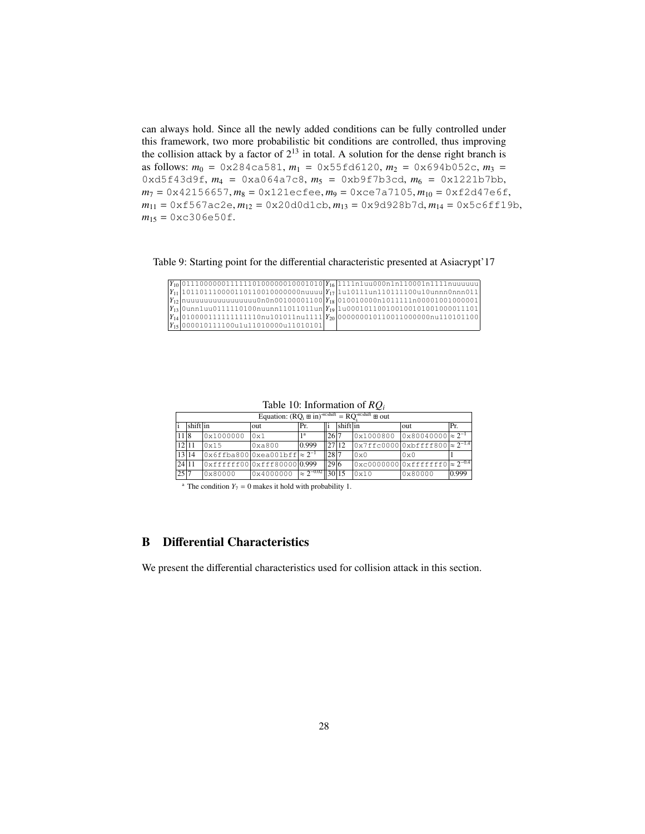can always hold. Since all the newly added conditions can be fully controlled under this framework, two more probabilistic bit conditions are controlled, thus improving the collision attack by a factor of  $2^{13}$  in total. A solution for the dense right branch is as follows:  $m_0 = 0 \times 284$ ca581,  $m_1 = 0 \times 55$ fd6120,  $m_2 = 0 \times 694$ b052c,  $m_3 =$ 0xd5f43d9f, *m*<sup>4</sup> = 0xa064a7c8, *m*<sup>5</sup> = 0xb9f7b3cd, *m*<sup>6</sup> = 0x1221b7bb,  $m_7 = 0 \times 42156657$ ,  $m_8 = 0 \times 121$ ecfee,  $m_9 = 0 \times 272105$ ,  $m_{10} = 0 \times 12047e6$ f,  $m_{11} = 0 \times 1567$  ac2e,  $m_{12} = 0 \times 20$  d0d1cb,  $m_{13} = 0 \times 9$  d928b7d,  $m_{14} = 0 \times 5$  c6ff19b,  $m_{15} = 0 \times c306e50f.$ 

<span id="page-27-0"></span>Table 9: Starting point for the differential characteristic presented at Asiacrypt'17

| $Y_{10} 01110000001111110100000010001010 Y_{16} 1111n1uu000n1n110001n1111nuuuuuu$                                                           |  |
|---------------------------------------------------------------------------------------------------------------------------------------------|--|
|                                                                                                                                             |  |
| $Y_{11}$  101101110000110110010000000nuuuu  $Y_{17}$  1u10111un110111100u10unnn0nnn011                                                      |  |
|                                                                                                                                             |  |
| $Y_{12}$  nuuuuuuuuuuuuuuuu0n0n00100001100  $Y_{18}$  010010000n1011111n00001001000001                                                      |  |
|                                                                                                                                             |  |
| $Y_{13}$   0 unn 1 uu 0 1 1 1 1 1 0 1 0 0 nuunn 1 1 0 1 1 0 1 1 un $Y_{19}$   1 u 0 0 0 1 0 1 1 0 0 1 0 0 1 0 0 1 0 0 1 0 0 0 0 0 1 1 1 0 1 |  |
|                                                                                                                                             |  |
| $Y_{14} 010000111111111110$ nu101011nu1111 $ Y_{20} 000000010110011000000$ nu110101100                                                      |  |
|                                                                                                                                             |  |
| $Y_{15} 000010111100u1u11010000u11010101 $                                                                                                  |  |
|                                                                                                                                             |  |

Table 10: Information of *RQ<sup>i</sup>*

<span id="page-27-1"></span>

|       |          |           | Equation: $(RQ_i \boxplus in)^{\text{wshiff}} = RQ_i^{\text{wshiff}} \boxplus out$ |                                        |       |          |              |                                            |       |
|-------|----------|-----------|------------------------------------------------------------------------------------|----------------------------------------|-------|----------|--------------|--------------------------------------------|-------|
|       | shift in |           | lout                                                                               | Pr.                                    |       | shift in |              | lout                                       | Pr.   |
| 11 8  |          | 0x1000000 | 0x1                                                                                | 1a                                     | 26 7  |          |              | $ 0x1000800 0x80040000  \approx 2^{-1}$    |       |
| 12 11 |          | 0x15      | 0xa800                                                                             | 0.999                                  | 27 12 |          |              | $ 0x7ffc0000 0xbffff800  \approx 2^{-1.4}$ |       |
| 13 14 |          |           | $0x6ffba800 0xea001bff  \approx 2^{-1}$                                            |                                        | 28 7  |          | $0 \times 0$ | $0 \times 0$                               |       |
| 24 11 |          |           | 0xffffff000xfff8000000999                                                          |                                        | 29 6  |          |              | $ 0xc0000000 0xfffffff0  \approx 2^{-0.4}$ |       |
| 25 7  |          | 0x80000   | 0x4000000                                                                          | $\sqrt{\approx 2^{-0.02}    30}    15$ |       |          | 0x10         | 0x80000                                    | 0.999 |

<sup>a</sup> The condition  $Y_7 = 0$  makes it hold with probability 1.

# B Differential Characteristics

We present the differential characteristics used for collision attack in this section.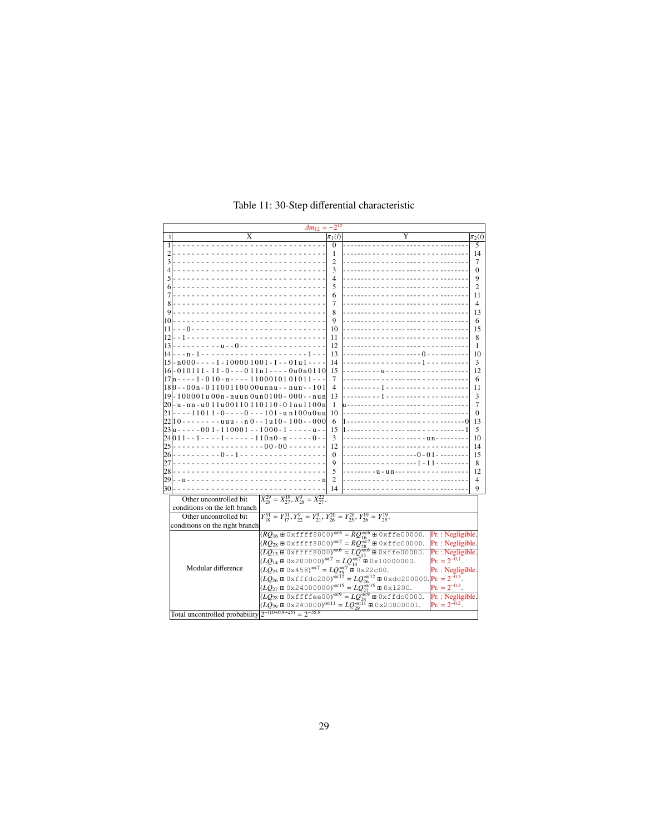<span id="page-28-0"></span>

|     | $\Delta m_{12} =$                                      |                                                                                                             |                |                                                                                                                                                                                                                                                                                                       |            |  |  |  |  |
|-----|--------------------------------------------------------|-------------------------------------------------------------------------------------------------------------|----------------|-------------------------------------------------------------------------------------------------------------------------------------------------------------------------------------------------------------------------------------------------------------------------------------------------------|------------|--|--|--|--|
|     | х                                                      |                                                                                                             | $\pi_1(i)$     |                                                                                                                                                                                                                                                                                                       | $\pi_2(i)$ |  |  |  |  |
|     |                                                        |                                                                                                             | 0              |                                                                                                                                                                                                                                                                                                       | 5          |  |  |  |  |
|     |                                                        |                                                                                                             | 1              |                                                                                                                                                                                                                                                                                                       | 14         |  |  |  |  |
|     |                                                        |                                                                                                             | $\overline{c}$ |                                                                                                                                                                                                                                                                                                       | 7          |  |  |  |  |
|     |                                                        |                                                                                                             | 3              |                                                                                                                                                                                                                                                                                                       | 0          |  |  |  |  |
|     |                                                        |                                                                                                             | 4              |                                                                                                                                                                                                                                                                                                       | 9          |  |  |  |  |
|     |                                                        |                                                                                                             | 5              |                                                                                                                                                                                                                                                                                                       | 2          |  |  |  |  |
|     |                                                        |                                                                                                             | 6              |                                                                                                                                                                                                                                                                                                       | 11         |  |  |  |  |
|     |                                                        |                                                                                                             | 7<br>8         |                                                                                                                                                                                                                                                                                                       | 4          |  |  |  |  |
| 10  |                                                        |                                                                                                             | 9              |                                                                                                                                                                                                                                                                                                       | 13<br>6    |  |  |  |  |
| 11  |                                                        |                                                                                                             | 10             |                                                                                                                                                                                                                                                                                                       | 15         |  |  |  |  |
| 12  |                                                        |                                                                                                             | 11             |                                                                                                                                                                                                                                                                                                       | 8          |  |  |  |  |
| 13  |                                                        |                                                                                                             | 12             |                                                                                                                                                                                                                                                                                                       | 1          |  |  |  |  |
| 14  |                                                        |                                                                                                             | 13             |                                                                                                                                                                                                                                                                                                       | 10         |  |  |  |  |
|     | 15 - n 0 0 0 -<br>$-1 - 100001001 - 1 -$               | - 0 1 u 1                                                                                                   | 14             |                                                                                                                                                                                                                                                                                                       | 3          |  |  |  |  |
|     | 16 - 010111 - 11 - 0 - - - 011n1 - - - - 0u0n0         |                                                                                                             | 15             |                                                                                                                                                                                                                                                                                                       | 12         |  |  |  |  |
|     | 17   - - - - 1 - 0 10 - u - - - - 11000101010111 - - - |                                                                                                             | 7              |                                                                                                                                                                                                                                                                                                       | 6          |  |  |  |  |
|     | 18 0 - -00n - 0 11001100 00unnu - - nun - - 101        |                                                                                                             | $\overline{4}$ |                                                                                                                                                                                                                                                                                                       | 11         |  |  |  |  |
|     | 19 - 100001u 00n - nuun 0un0100 - 000 - -nun           |                                                                                                             | 13             |                                                                                                                                                                                                                                                                                                       | 3          |  |  |  |  |
|     | 20 - u - nn - u 0 11u 0 0 110 110 110 - 0 1nu 110 0 n  |                                                                                                             | 1              |                                                                                                                                                                                                                                                                                                       | 7          |  |  |  |  |
| 121 |                                                        | $1011 - 0 - - - 0 - - - 101 -$ un100u0uu                                                                    | 10             |                                                                                                                                                                                                                                                                                                       | $\theta$   |  |  |  |  |
|     |                                                        | -uuu - -n 0 - - 1 u 1 0 - 100 - - 000                                                                       | 6              |                                                                                                                                                                                                                                                                                                       | 13         |  |  |  |  |
|     | $-001 - 110001 - 1000 - 1 - - -$                       |                                                                                                             | 15             |                                                                                                                                                                                                                                                                                                       | 5          |  |  |  |  |
| 24  | IO 1-1                                                 | $- - - 1 - - - - - - 110n0 - n - - - - - 0 - -$                                                             | 3              |                                                                                                                                                                                                                                                                                                       | 10         |  |  |  |  |
| 25  |                                                        | $-00-00-$                                                                                                   | 12             |                                                                                                                                                                                                                                                                                                       | 14         |  |  |  |  |
| 26  |                                                        |                                                                                                             | $\Omega$       |                                                                                                                                                                                                                                                                                                       | 15         |  |  |  |  |
| 27  |                                                        |                                                                                                             | 9              |                                                                                                                                                                                                                                                                                                       | 8          |  |  |  |  |
| 28  |                                                        |                                                                                                             | 5              |                                                                                                                                                                                                                                                                                                       | 12         |  |  |  |  |
| 29  |                                                        |                                                                                                             | $\overline{c}$ |                                                                                                                                                                                                                                                                                                       | 4          |  |  |  |  |
| 30  |                                                        |                                                                                                             | 14             |                                                                                                                                                                                                                                                                                                       | 9          |  |  |  |  |
|     | Other uncontrolled bit                                 | $X_{28}^{29} = X_{27}^{19}, X_{28}^{0} = X_{27}^{22}.$                                                      |                |                                                                                                                                                                                                                                                                                                       |            |  |  |  |  |
|     | conditions on the left branch                          |                                                                                                             |                |                                                                                                                                                                                                                                                                                                       |            |  |  |  |  |
|     | Other uncontrolled bit                                 | $Y_{18}^{31} = Y_{17}^{31}, Y_{22}^{9} = Y_{21}^{9}, Y_{26}^{20} = Y_{25}^{20}, Y_{26}^{19} = Y_{25}^{19}.$ |                |                                                                                                                                                                                                                                                                                                       |            |  |  |  |  |
|     | conditions on the right branch                         |                                                                                                             |                |                                                                                                                                                                                                                                                                                                       |            |  |  |  |  |
|     |                                                        |                                                                                                             |                | $(RQ_{16} \boxplus 0 \times \text{eff} \text{f} 8000)^{\text{**}6} = RQ_{16}^{\text{**}6} \boxplus 0 \times \text{f} \text{f} e 00000.$<br>$(RQ_{28} \boxplus 0 \times \text{ff} \text{f} 8000)^{\text{**}7} = RQ_{28}^{\text{**}7} \boxplus 0 \times \text{f} \text{f} e 00000.$<br>Pr.: Negligible. |            |  |  |  |  |
|     |                                                        |                                                                                                             |                | Pr.: Negligible.                                                                                                                                                                                                                                                                                      |            |  |  |  |  |
|     |                                                        |                                                                                                             |                | $(LQ_{13} \boxplus 0 \times \text{ffff8000})^{\text{**}6} = LQ_{313}^{\text{**}6} \boxplus 0 \times \text{ffe00000}.$<br>Pr.: Negligible.                                                                                                                                                             |            |  |  |  |  |
|     |                                                        |                                                                                                             |                | $(LQ_{14} \boxplus 0 \times 200000)^{\text{m}/7} = LQ_{14}^{\text{m}/7} \boxplus 0 \times 100000000.$<br>$Pr. = 2^{-0.1}$                                                                                                                                                                             |            |  |  |  |  |
|     | Modular difference                                     | $(LQ_{25} \boxplus 0 \times 458)^{\ll 7} = LQ_{25}^{\ll 7} \boxplus 0 \times 22c00.$                        |                | Pr.: Negligible.                                                                                                                                                                                                                                                                                      |            |  |  |  |  |
|     |                                                        |                                                                                                             |                | $(LQ_{26} \boxplus 0 \times \text{fffdc200})^{\text{Wf12}} = LQ_{26}^{\text{Wf12}} = 0 \times d c 200000$ .<br>$( LQ_{27} \boxplus 0 \times 24000000)^{\text{Wf15}} = LQ_{27}^{\text{Wf15}} \boxplus 0 \times 1200.$ Pr. = $2^{-0.3}$ .                                                               |            |  |  |  |  |
|     |                                                        |                                                                                                             |                |                                                                                                                                                                                                                                                                                                       |            |  |  |  |  |
|     |                                                        |                                                                                                             |                | $(\overline{LQ_{28} \boxplus 0 \times \text{ff} \text{ff} \text{ee} 00)^{**9}} = \overline{LQ_{28}^{**9} \boxplus 0 \times \text{ff} \text{dc} 0000}.$<br>Pr.: Negligible.                                                                                                                            |            |  |  |  |  |
|     |                                                        |                                                                                                             |                | $(LQ_{29} \boxplus 0 \times 240000)^{\text{m}11} = LQ_{20}^{\text{m}11} \boxplus 0 \times 200000001.$<br>$Pr. = 2^{-0.2}$                                                                                                                                                                             |            |  |  |  |  |
|     | Total uncontrolled probability                         | $2^{-(10+0.9+25)} = 2^{-35.9}$                                                                              |                |                                                                                                                                                                                                                                                                                                       |            |  |  |  |  |

Table 11: 30-Step differential characteristic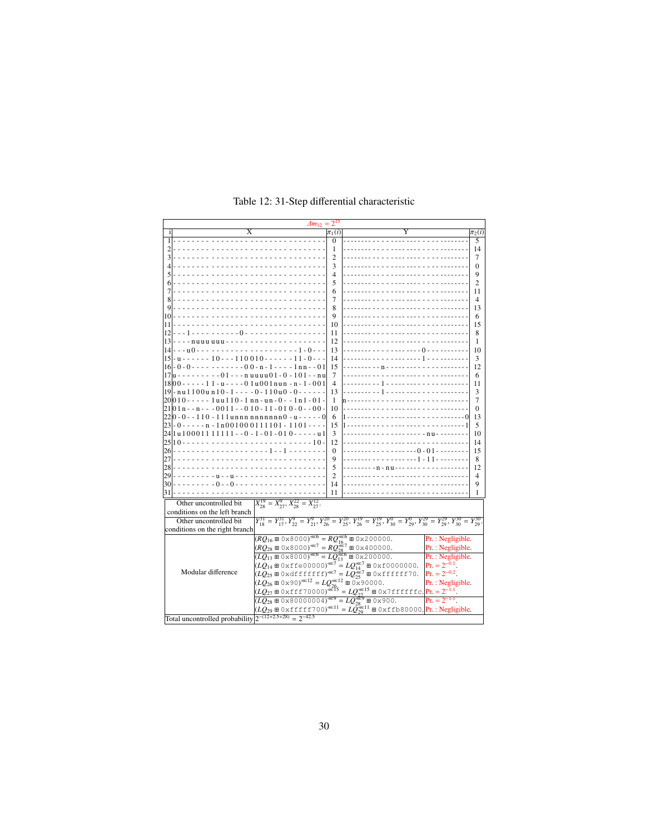<span id="page-29-0"></span>

| $\Delta m_{12} = 2^{12}$                                    |                                                                                                                                                                                                                                                                                                                         |                                                                                                                   |                                                                                                                                                                                                   |                  |                |  |  |
|-------------------------------------------------------------|-------------------------------------------------------------------------------------------------------------------------------------------------------------------------------------------------------------------------------------------------------------------------------------------------------------------------|-------------------------------------------------------------------------------------------------------------------|---------------------------------------------------------------------------------------------------------------------------------------------------------------------------------------------------|------------------|----------------|--|--|
| X                                                           |                                                                                                                                                                                                                                                                                                                         | $\pi_1(i)$                                                                                                        |                                                                                                                                                                                                   |                  | $\pi_2(i)$     |  |  |
|                                                             |                                                                                                                                                                                                                                                                                                                         |                                                                                                                   |                                                                                                                                                                                                   |                  | 5              |  |  |
|                                                             |                                                                                                                                                                                                                                                                                                                         | 1                                                                                                                 |                                                                                                                                                                                                   |                  | 14             |  |  |
|                                                             |                                                                                                                                                                                                                                                                                                                         | $\overline{c}$                                                                                                    |                                                                                                                                                                                                   |                  | 7              |  |  |
|                                                             |                                                                                                                                                                                                                                                                                                                         | 3                                                                                                                 |                                                                                                                                                                                                   |                  | $\Omega$       |  |  |
|                                                             |                                                                                                                                                                                                                                                                                                                         | 4                                                                                                                 |                                                                                                                                                                                                   |                  | 9              |  |  |
|                                                             |                                                                                                                                                                                                                                                                                                                         | 5                                                                                                                 |                                                                                                                                                                                                   |                  | $\overline{c}$ |  |  |
|                                                             |                                                                                                                                                                                                                                                                                                                         | 6                                                                                                                 |                                                                                                                                                                                                   |                  | 11             |  |  |
|                                                             |                                                                                                                                                                                                                                                                                                                         | 7                                                                                                                 |                                                                                                                                                                                                   |                  | 4              |  |  |
| 9                                                           |                                                                                                                                                                                                                                                                                                                         | 8                                                                                                                 |                                                                                                                                                                                                   |                  | 13             |  |  |
|                                                             |                                                                                                                                                                                                                                                                                                                         | 9                                                                                                                 |                                                                                                                                                                                                   |                  | 6              |  |  |
|                                                             |                                                                                                                                                                                                                                                                                                                         | 10                                                                                                                |                                                                                                                                                                                                   |                  | 15             |  |  |
| 12                                                          |                                                                                                                                                                                                                                                                                                                         | 11                                                                                                                |                                                                                                                                                                                                   |                  | 8              |  |  |
| 13<br>ոս ռոս                                                |                                                                                                                                                                                                                                                                                                                         | 12                                                                                                                |                                                                                                                                                                                                   |                  | 1              |  |  |
| 14                                                          |                                                                                                                                                                                                                                                                                                                         | 13                                                                                                                |                                                                                                                                                                                                   |                  | 10             |  |  |
| -1<br>151                                                   | $--110010---1$                                                                                                                                                                                                                                                                                                          | 14                                                                                                                |                                                                                                                                                                                                   |                  | 3              |  |  |
| $16 - 0 - 0 - - - -$                                        | $-00 - n - 1 - - - 1n - - 01$                                                                                                                                                                                                                                                                                           | 15                                                                                                                |                                                                                                                                                                                                   |                  | 12             |  |  |
| 17                                                          | - - - - - 01 - - - n uuuu01 - 0 - 101 - - nu                                                                                                                                                                                                                                                                            | 7                                                                                                                 |                                                                                                                                                                                                   |                  | 6              |  |  |
| $18 00 - - - - 11 - u - - - 01u001$ nun - n - 1 - 001       |                                                                                                                                                                                                                                                                                                                         | $\overline{4}$                                                                                                    |                                                                                                                                                                                                   |                  | 11             |  |  |
| $19$  -nu 1100u n 10 - 1 - - - - 0 - 110u 0 - 0 - - - - - - |                                                                                                                                                                                                                                                                                                                         | 13                                                                                                                |                                                                                                                                                                                                   |                  | 3              |  |  |
| 20 010 - - - - - 1uu110 - 1 nn - un - 0 -  - 1n1 - 01 -     |                                                                                                                                                                                                                                                                                                                         | 1                                                                                                                 |                                                                                                                                                                                                   |                  | 7              |  |  |
|                                                             |                                                                                                                                                                                                                                                                                                                         | 10                                                                                                                |                                                                                                                                                                                                   |                  | 0              |  |  |
| 220 - 0 - - 110 - 111 unnn nnnnnnn0 - u - - - - - 0         |                                                                                                                                                                                                                                                                                                                         | 6                                                                                                                 |                                                                                                                                                                                                   |                  | 13             |  |  |
| 23 -0-----n-1n001000111101-1101-                            |                                                                                                                                                                                                                                                                                                                         | 15                                                                                                                |                                                                                                                                                                                                   |                  | 5              |  |  |
| 24 1 u 1 0 0 0 1 1 1 1 1 1 1 - - 0 - 1 - 0 1 - 0 1 0 - -    |                                                                                                                                                                                                                                                                                                                         | 3                                                                                                                 |                                                                                                                                                                                                   |                  | 10             |  |  |
| 25 10                                                       |                                                                                                                                                                                                                                                                                                                         | 12                                                                                                                |                                                                                                                                                                                                   |                  | 14             |  |  |
|                                                             |                                                                                                                                                                                                                                                                                                                         | $\mathbf{0}$                                                                                                      |                                                                                                                                                                                                   |                  | 15             |  |  |
| 27                                                          |                                                                                                                                                                                                                                                                                                                         | 9                                                                                                                 |                                                                                                                                                                                                   |                  | 8              |  |  |
| 28                                                          |                                                                                                                                                                                                                                                                                                                         | 5                                                                                                                 |                                                                                                                                                                                                   |                  | 12             |  |  |
| 29                                                          |                                                                                                                                                                                                                                                                                                                         | $\overline{c}$                                                                                                    |                                                                                                                                                                                                   |                  | 4              |  |  |
| 30                                                          |                                                                                                                                                                                                                                                                                                                         | 14                                                                                                                |                                                                                                                                                                                                   |                  | 9              |  |  |
| 31                                                          |                                                                                                                                                                                                                                                                                                                         | 11                                                                                                                |                                                                                                                                                                                                   |                  | 1              |  |  |
| Other uncontrolled bit                                      | $X_{28}^{19} = X_{27}^9, X_{28}^{22} = X_{27}^{12}.$                                                                                                                                                                                                                                                                    |                                                                                                                   |                                                                                                                                                                                                   |                  |                |  |  |
| conditions on the left branch                               |                                                                                                                                                                                                                                                                                                                         |                                                                                                                   |                                                                                                                                                                                                   |                  |                |  |  |
| Other uncontrolled bit                                      |                                                                                                                                                                                                                                                                                                                         |                                                                                                                   | $Y_{18}^{31} = Y_{17}^{31}, Y_{22}^{9} = Y_{21}^{9}, Y_{26}^{20} = Y_{25}^{20}, Y_{26}^{19} = Y_{25}^{19}, Y_{30}^{0} = Y_{29}^{0}, Y_{30}^{29} = Y_{29}^{29}, Y_{30}^{30} = Y_{29}^{30}$         |                  |                |  |  |
| conditions on the right branch                              |                                                                                                                                                                                                                                                                                                                         |                                                                                                                   |                                                                                                                                                                                                   |                  |                |  |  |
|                                                             |                                                                                                                                                                                                                                                                                                                         |                                                                                                                   |                                                                                                                                                                                                   |                  |                |  |  |
|                                                             |                                                                                                                                                                                                                                                                                                                         |                                                                                                                   |                                                                                                                                                                                                   | Pr.: Negligible. |                |  |  |
|                                                             | $(RQ_{16} \boxplus 0 \times 8000)^{\text{m6}} = RQ_{16}^{\text{m6}} \boxplus 0 \times 200000.$<br>$(RQ_{28} \boxplus 0 \times 8000)^{\text{m7}} = RQ_{28}^{\text{m7}} \boxplus 0 \times 400000.$<br>Pr.: Negligible.                                                                                                    |                                                                                                                   |                                                                                                                                                                                                   |                  |                |  |  |
|                                                             | $(LQ_{13} \boxplus 0 \times 8000)^{\text{}} = LQ_{13}^{\text{}} \boxplus 0 \times 2000000.$<br>Pr.: Negligible.                                                                                                                                                                                                         |                                                                                                                   |                                                                                                                                                                                                   |                  |                |  |  |
| Modular difference                                          | $(LQ_{14} \boxplus 0 \times \text{ff} \in 00000)^{4 \times 7} = LQ_{14}^{4 \times 7} \boxplus 0 \times \text{f}0000000.$<br>$(LQ_{25} \boxplus 0 \times \text{diff} \text{eff} \text{ff})^{\text{4 \times 7}} = LQ_{25}^{4 \times 7} \boxplus 0 \times \text{ff} \text{ff} \text{ff} \text{ff}).$<br>$Pr. = 2^{-0.1}$ . |                                                                                                                   |                                                                                                                                                                                                   |                  |                |  |  |
|                                                             | $Pr. = 2^{-0.2}$                                                                                                                                                                                                                                                                                                        |                                                                                                                   |                                                                                                                                                                                                   |                  |                |  |  |
|                                                             |                                                                                                                                                                                                                                                                                                                         | $(LQ_{26} \boxplus 0 \times 90)^{\text{m}12} = LQ_{26}^{\text{m}12} \boxplus 0 \times 90000.$<br>Pr.: Negligible. |                                                                                                                                                                                                   |                  |                |  |  |
|                                                             |                                                                                                                                                                                                                                                                                                                         |                                                                                                                   | $(LQ_{27} \boxplus 0 \times \text{eff} 70000)^{\cdot \cdot \cdot \cdot \cdot 15} = LQ_{27}^{\cdot \cdot \cdot \cdot 15} \boxplus 0 \times 7 \text{fffffc}$ . Pr. = 2                              |                  |                |  |  |
|                                                             |                                                                                                                                                                                                                                                                                                                         |                                                                                                                   | $\frac{(LQ_{28} \boxplus 0 \times 800000004)^{489} = LQ_{28}^{489} \boxplus 0 \times 900.}{(LQ_{29} \boxplus 0 \times \text{effff700})^{481} = LQ_{26}^{481} \boxplus 0 \times \text{ffb80000.}}$ | $Pr. = 2$        |                |  |  |
|                                                             |                                                                                                                                                                                                                                                                                                                         |                                                                                                                   |                                                                                                                                                                                                   | Pr.: Negligible. |                |  |  |
| Total uncontrolled probability                              | $2^{-(12+2.5+28)} = 2^{-42.5}$                                                                                                                                                                                                                                                                                          |                                                                                                                   |                                                                                                                                                                                                   |                  |                |  |  |

Table 12: 31-Step differential characteristic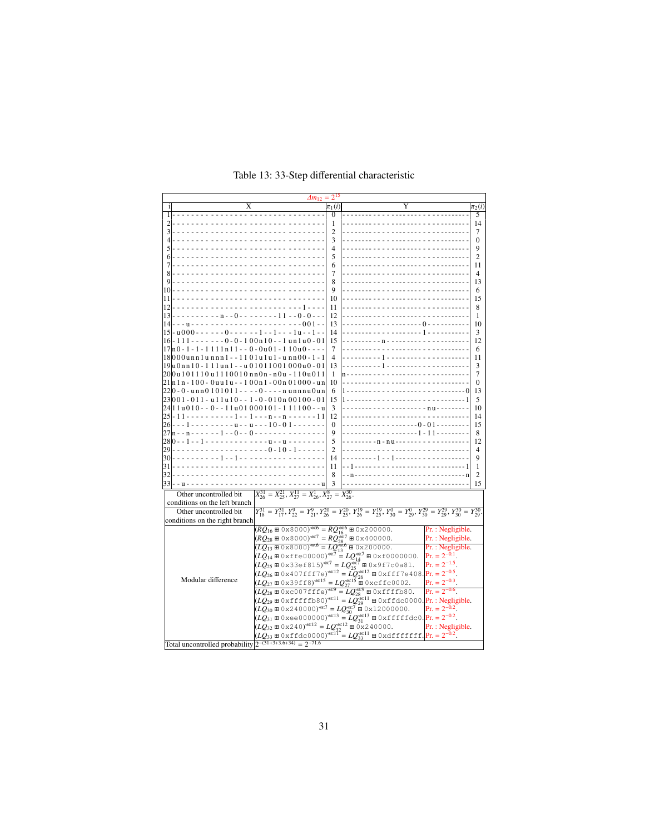<span id="page-30-0"></span>

| $\Delta m_{12}$                                                                    |                                                                                                                                                                                                                                                                                                                                                                                                                                                                                                                                        |                                                                                                                                                                                                                                                                                                                           |                                                                                                                                                                                           |                                      |                  |  |
|------------------------------------------------------------------------------------|----------------------------------------------------------------------------------------------------------------------------------------------------------------------------------------------------------------------------------------------------------------------------------------------------------------------------------------------------------------------------------------------------------------------------------------------------------------------------------------------------------------------------------------|---------------------------------------------------------------------------------------------------------------------------------------------------------------------------------------------------------------------------------------------------------------------------------------------------------------------------|-------------------------------------------------------------------------------------------------------------------------------------------------------------------------------------------|--------------------------------------|------------------|--|
| X                                                                                  |                                                                                                                                                                                                                                                                                                                                                                                                                                                                                                                                        | $\pi_1(i)$                                                                                                                                                                                                                                                                                                                |                                                                                                                                                                                           |                                      | $\pi_2(i)$       |  |
|                                                                                    |                                                                                                                                                                                                                                                                                                                                                                                                                                                                                                                                        |                                                                                                                                                                                                                                                                                                                           |                                                                                                                                                                                           |                                      | 5                |  |
|                                                                                    |                                                                                                                                                                                                                                                                                                                                                                                                                                                                                                                                        | 1                                                                                                                                                                                                                                                                                                                         |                                                                                                                                                                                           |                                      | 14               |  |
|                                                                                    |                                                                                                                                                                                                                                                                                                                                                                                                                                                                                                                                        | $\mathfrak{D}$                                                                                                                                                                                                                                                                                                            |                                                                                                                                                                                           |                                      | 7                |  |
|                                                                                    |                                                                                                                                                                                                                                                                                                                                                                                                                                                                                                                                        | 3                                                                                                                                                                                                                                                                                                                         |                                                                                                                                                                                           |                                      | $\boldsymbol{0}$ |  |
| 5                                                                                  |                                                                                                                                                                                                                                                                                                                                                                                                                                                                                                                                        | $\overline{4}$                                                                                                                                                                                                                                                                                                            |                                                                                                                                                                                           |                                      | 9                |  |
|                                                                                    |                                                                                                                                                                                                                                                                                                                                                                                                                                                                                                                                        | 5                                                                                                                                                                                                                                                                                                                         |                                                                                                                                                                                           |                                      | $\overline{2}$   |  |
|                                                                                    |                                                                                                                                                                                                                                                                                                                                                                                                                                                                                                                                        | 6                                                                                                                                                                                                                                                                                                                         |                                                                                                                                                                                           |                                      | 11               |  |
|                                                                                    |                                                                                                                                                                                                                                                                                                                                                                                                                                                                                                                                        | 7                                                                                                                                                                                                                                                                                                                         |                                                                                                                                                                                           |                                      | $\overline{4}$   |  |
|                                                                                    |                                                                                                                                                                                                                                                                                                                                                                                                                                                                                                                                        | 8                                                                                                                                                                                                                                                                                                                         |                                                                                                                                                                                           |                                      | 13               |  |
| 11                                                                                 |                                                                                                                                                                                                                                                                                                                                                                                                                                                                                                                                        | 9<br>10                                                                                                                                                                                                                                                                                                                   |                                                                                                                                                                                           |                                      | 6<br>15          |  |
| 12                                                                                 |                                                                                                                                                                                                                                                                                                                                                                                                                                                                                                                                        | 11                                                                                                                                                                                                                                                                                                                        |                                                                                                                                                                                           |                                      | 8                |  |
| 13                                                                                 |                                                                                                                                                                                                                                                                                                                                                                                                                                                                                                                                        | 12                                                                                                                                                                                                                                                                                                                        |                                                                                                                                                                                           |                                      | 1                |  |
| 14                                                                                 | $-001 - -$                                                                                                                                                                                                                                                                                                                                                                                                                                                                                                                             | 13                                                                                                                                                                                                                                                                                                                        |                                                                                                                                                                                           |                                      | 10               |  |
| - u 0 0 0 -<br>15<br>$\Omega$                                                      | - - - 1 -<br>$-1 - - 1u - -1$                                                                                                                                                                                                                                                                                                                                                                                                                                                                                                          | 14                                                                                                                                                                                                                                                                                                                        |                                                                                                                                                                                           |                                      | 3                |  |
| 16 - 111 - - - - - - - 0 - 0 - 1 00n 10 - - 1 un 1 u0 - 0 1                        |                                                                                                                                                                                                                                                                                                                                                                                                                                                                                                                                        | 15                                                                                                                                                                                                                                                                                                                        |                                                                                                                                                                                           |                                      | 12               |  |
| $17 n0-1-1-1111n11-0-0u01-110u0-$                                                  |                                                                                                                                                                                                                                                                                                                                                                                                                                                                                                                                        | 7                                                                                                                                                                                                                                                                                                                         |                                                                                                                                                                                           |                                      | 6                |  |
| 18 000unn1unnn1 - -1101u1u1 - unn00 - 1 - 1                                        |                                                                                                                                                                                                                                                                                                                                                                                                                                                                                                                                        | 4                                                                                                                                                                                                                                                                                                                         |                                                                                                                                                                                           |                                      | 11               |  |
| 19u0nn10 - 111un1 - -u 01011001000u0 - 01                                          |                                                                                                                                                                                                                                                                                                                                                                                                                                                                                                                                        | 13                                                                                                                                                                                                                                                                                                                        |                                                                                                                                                                                           |                                      | 3                |  |
| 20 0 u 1 0 1 1 1 0 u 1 1 1 0 0 1 0 n n 0 n - n 0 u - 1 1 0 u 0 1 1                 |                                                                                                                                                                                                                                                                                                                                                                                                                                                                                                                                        | 1                                                                                                                                                                                                                                                                                                                         |                                                                                                                                                                                           |                                      | 7                |  |
| 21 n 1 n - 100 - 0uu 1u - - 1 00n 1 - 00n 0 1000 - un                              |                                                                                                                                                                                                                                                                                                                                                                                                                                                                                                                                        | 10                                                                                                                                                                                                                                                                                                                        |                                                                                                                                                                                           |                                      | $\boldsymbol{0}$ |  |
| 22  0 - 0 - unn0 101011 - - - - 0 - - - - n unnnu0un                               |                                                                                                                                                                                                                                                                                                                                                                                                                                                                                                                                        | 6                                                                                                                                                                                                                                                                                                                         |                                                                                                                                                                                           |                                      | 13               |  |
| 23 001 - 011 - u11u10 - - 1 - 0 - 010n 00100 - 01                                  |                                                                                                                                                                                                                                                                                                                                                                                                                                                                                                                                        | 15                                                                                                                                                                                                                                                                                                                        |                                                                                                                                                                                           |                                      | 5                |  |
| 24 11u010--0--11u01000101-111100--u                                                |                                                                                                                                                                                                                                                                                                                                                                                                                                                                                                                                        | 3                                                                                                                                                                                                                                                                                                                         |                                                                                                                                                                                           |                                      | 10               |  |
| - 1 1 -<br>25                                                                      | . 1 1 - . - n - - n - - - - - - 1 1                                                                                                                                                                                                                                                                                                                                                                                                                                                                                                    | 12                                                                                                                                                                                                                                                                                                                        |                                                                                                                                                                                           |                                      | 14               |  |
| $\omega_{\rm{eff}}$ and $\omega_{\rm{eff}}$<br>26                                  | $-u - u - u - 10 - 01$                                                                                                                                                                                                                                                                                                                                                                                                                                                                                                                 | $\boldsymbol{0}$                                                                                                                                                                                                                                                                                                          |                                                                                                                                                                                           |                                      | 15               |  |
| $- - - - 1 - - 0 - - 0 - - - -$<br>27 n - - n                                      |                                                                                                                                                                                                                                                                                                                                                                                                                                                                                                                                        | 9                                                                                                                                                                                                                                                                                                                         |                                                                                                                                                                                           |                                      | 8                |  |
| 28 0 - - 1 -                                                                       | $\mathbf{u}$                                                                                                                                                                                                                                                                                                                                                                                                                                                                                                                           | 5                                                                                                                                                                                                                                                                                                                         |                                                                                                                                                                                           |                                      | 12               |  |
| 29                                                                                 | $0 - 10$                                                                                                                                                                                                                                                                                                                                                                                                                                                                                                                               | $\overline{2}$<br>14                                                                                                                                                                                                                                                                                                      |                                                                                                                                                                                           |                                      | 4<br>9           |  |
| 30<br>31                                                                           |                                                                                                                                                                                                                                                                                                                                                                                                                                                                                                                                        | 11                                                                                                                                                                                                                                                                                                                        |                                                                                                                                                                                           |                                      | 1                |  |
| 32                                                                                 |                                                                                                                                                                                                                                                                                                                                                                                                                                                                                                                                        | 8                                                                                                                                                                                                                                                                                                                         |                                                                                                                                                                                           |                                      | $\overline{2}$   |  |
|                                                                                    |                                                                                                                                                                                                                                                                                                                                                                                                                                                                                                                                        | 3                                                                                                                                                                                                                                                                                                                         |                                                                                                                                                                                           |                                      | 15               |  |
| 331<br>$X_{26}^{31} = X_{25}^{21}, X_{27}^{11} = X_{26}^1, X_{27}^8 = X_{26}^{30}$ |                                                                                                                                                                                                                                                                                                                                                                                                                                                                                                                                        |                                                                                                                                                                                                                                                                                                                           |                                                                                                                                                                                           |                                      |                  |  |
| Other uncontrolled bit<br>conditions on the left branch                            |                                                                                                                                                                                                                                                                                                                                                                                                                                                                                                                                        |                                                                                                                                                                                                                                                                                                                           |                                                                                                                                                                                           |                                      |                  |  |
| Other uncontrolled bit                                                             |                                                                                                                                                                                                                                                                                                                                                                                                                                                                                                                                        |                                                                                                                                                                                                                                                                                                                           |                                                                                                                                                                                           |                                      |                  |  |
| conditions on the right branch                                                     |                                                                                                                                                                                                                                                                                                                                                                                                                                                                                                                                        |                                                                                                                                                                                                                                                                                                                           | $Y_{18}^{31} = Y_{17}^{31}, Y_{22}^{9} = Y_{21}^{9}, Y_{26}^{20} = Y_{25}^{20}, Y_{26}^{19} = Y_{25}^{19}, Y_{30}^{0} = Y_{29}^{0}, Y_{30}^{29} = Y_{29}^{29}, Y_{30}^{30} = Y_{29}^{30}$ |                                      |                  |  |
|                                                                                    |                                                                                                                                                                                                                                                                                                                                                                                                                                                                                                                                        |                                                                                                                                                                                                                                                                                                                           |                                                                                                                                                                                           | Pr.: Negligible.                     |                  |  |
|                                                                                    |                                                                                                                                                                                                                                                                                                                                                                                                                                                                                                                                        |                                                                                                                                                                                                                                                                                                                           |                                                                                                                                                                                           | Pr.: Negligible.                     |                  |  |
|                                                                                    |                                                                                                                                                                                                                                                                                                                                                                                                                                                                                                                                        | $\frac{(RQ_{16} \boxplus 0 \times 8000)^{48} \times 6}{(RQ_{216} \boxplus 0 \times 8000)^{48} \times 7} = RQ_{28}^{48} \boxplus 0 \times 2000000.$<br>$(RQ_{28} \boxplus 0 \times 8000)^{\text{m}/7} = RQ_{28}^{\text{m}}$<br>$(LQ_{13} \boxplus 0 \times 8000)^{\text{}} = LQ_{13}^{\text{}} \boxplus 0 \times 2000000.$ |                                                                                                                                                                                           |                                      |                  |  |
|                                                                                    |                                                                                                                                                                                                                                                                                                                                                                                                                                                                                                                                        |                                                                                                                                                                                                                                                                                                                           |                                                                                                                                                                                           | Pr.: Negligible.<br>$Pr. = 2^{-0.1}$ |                  |  |
|                                                                                    | $(LQ_{14} \boxplus 0 \times \text{f} \in 00000)^{**7} = LQ_{14}^{**7} \boxplus 0 \times 0000000$ .<br>$(LQ_{25} \boxplus 0 \times 33 \in 6815)^{**7} = LQ_{25}^{**7} \boxplus 0 \times 9f7c0a81.$                                                                                                                                                                                                                                                                                                                                      |                                                                                                                                                                                                                                                                                                                           |                                                                                                                                                                                           | $Pr. = 2^{-1.5}$                     |                  |  |
|                                                                                    |                                                                                                                                                                                                                                                                                                                                                                                                                                                                                                                                        |                                                                                                                                                                                                                                                                                                                           |                                                                                                                                                                                           |                                      |                  |  |
| Modular difference                                                                 | $(L_{Q26} \boxplus 0 \times 407 \text{iff} \text{if } e)^{\ll 12} = L_{Q26}^{\geq 2.1} \boxplus 0 \times \text{iff} \text{if } e = 0.08.$ Pr. = 2 <sup>-0.5</sup><br>$(L_{Q27} \boxplus 0 \times 39 \text{iff})^{\ll 15} = L_{Q27}^{\geq 5.15} \boxplus 0 \times \text{cf } \text{f} \in 0.002.$ Pr. = 2 <sup>-0.3</sup> .                                                                                                                                                                                                             |                                                                                                                                                                                                                                                                                                                           |                                                                                                                                                                                           |                                      |                  |  |
|                                                                                    | $\begin{array}{l} \textcolor{blue}{(LQ_{28} \boxplus 0 \times \textcolor{blue}{\textcolor{blue}{\textbf{C}007\textcolor{black}{\textcolor{blue}{\textbf{f} \textcolor{blue}{\textbf{f} \textcolor{blue}{\textbf{c} \textcolor{blue}{\textbf{v} \textcolor{blue}{\textbf{c} \textcolor{blue}{\textbf{v} \textcolor{blue}{\textbf{c} \textcolor{blue}{\textbf{v} \textcolor{blue}{\textbf{c} \textcolor{blue}{\textbf{v} \textcolor{blue}{\textbf{c}}}}} }}\textcolor{red}{(LQ_{29} \boxplus 0 \times \textcolor{red}{\textcolor{blue}{$ |                                                                                                                                                                                                                                                                                                                           |                                                                                                                                                                                           |                                      |                  |  |
|                                                                                    |                                                                                                                                                                                                                                                                                                                                                                                                                                                                                                                                        |                                                                                                                                                                                                                                                                                                                           |                                                                                                                                                                                           |                                      |                  |  |
|                                                                                    |                                                                                                                                                                                                                                                                                                                                                                                                                                                                                                                                        |                                                                                                                                                                                                                                                                                                                           |                                                                                                                                                                                           | $Pr. = 2^{-0.2}$                     |                  |  |
|                                                                                    | $(LQ_{30} \boxplus 0 \times 240000)^{\text{m}/7} = LQ_{30}^{\text{m}/7} \boxplus 0 \times 120000000.$                                                                                                                                                                                                                                                                                                                                                                                                                                  |                                                                                                                                                                                                                                                                                                                           | $(L_{Q31}^{0.00000000})$ = $L_{Q31}^{0.000000}$ = $L_{Q31}^{0.00000000}$ = 0xfffffdc0. Pr. = $2^{-0.2}$ .                                                                                 |                                      |                  |  |
|                                                                                    | $(LQ_{32} \boxplus 0 \times 240)^{\text{m}12} = LQ_{32}^{\text{m}12} \boxplus 0 \times 240000.$                                                                                                                                                                                                                                                                                                                                                                                                                                        |                                                                                                                                                                                                                                                                                                                           |                                                                                                                                                                                           |                                      |                  |  |
|                                                                                    |                                                                                                                                                                                                                                                                                                                                                                                                                                                                                                                                        |                                                                                                                                                                                                                                                                                                                           |                                                                                                                                                                                           | Pr.: Negligible.                     |                  |  |
|                                                                                    | $2^{-(31+3+3.6+34)} = 2^{-71.6}$                                                                                                                                                                                                                                                                                                                                                                                                                                                                                                       |                                                                                                                                                                                                                                                                                                                           |                                                                                                                                                                                           |                                      |                  |  |
| Total uncontrolled probability                                                     |                                                                                                                                                                                                                                                                                                                                                                                                                                                                                                                                        |                                                                                                                                                                                                                                                                                                                           |                                                                                                                                                                                           |                                      |                  |  |

# Table 13: 33-Step differential characteristic